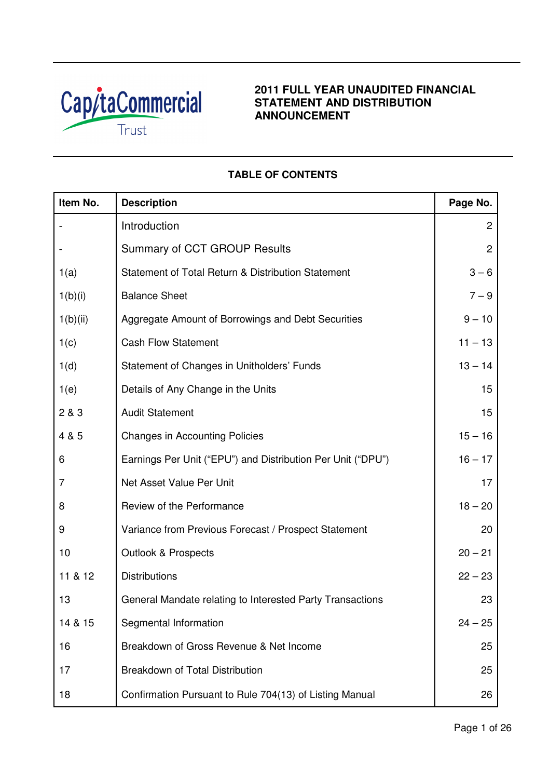

# **2011 FULL YEAR UNAUDITED FINANCIAL STATEMENT AND DISTRIBUTION ANNOUNCEMENT**

# **TABLE OF CONTENTS**

| Item No. | <b>Description</b>                                          | Page No.       |
|----------|-------------------------------------------------------------|----------------|
|          | Introduction                                                | $\overline{c}$ |
|          | Summary of CCT GROUP Results                                | $\overline{2}$ |
| 1(a)     | Statement of Total Return & Distribution Statement          | $3 - 6$        |
| 1(b)(i)  | <b>Balance Sheet</b>                                        | $7 - 9$        |
| 1(b)(ii) | Aggregate Amount of Borrowings and Debt Securities          | $9 - 10$       |
| 1(c)     | <b>Cash Flow Statement</b>                                  | $11 - 13$      |
| 1(d)     | Statement of Changes in Unitholders' Funds                  | $13 - 14$      |
| 1(e)     | Details of Any Change in the Units                          | 15             |
| 2 & 3    | <b>Audit Statement</b>                                      | 15             |
| 4 & 5    | <b>Changes in Accounting Policies</b>                       | $15 - 16$      |
| 6        | Earnings Per Unit ("EPU") and Distribution Per Unit ("DPU") | $16 - 17$      |
| 7        | Net Asset Value Per Unit                                    | 17             |
| 8        | Review of the Performance                                   | $18 - 20$      |
| 9        | Variance from Previous Forecast / Prospect Statement        | 20             |
| 10       | <b>Outlook &amp; Prospects</b>                              | $20 - 21$      |
| 11 & 12  | <b>Distributions</b>                                        | $22 - 23$      |
| 13       | General Mandate relating to Interested Party Transactions   | 23             |
| 14 & 15  | Segmental Information                                       | $24 - 25$      |
| 16       | Breakdown of Gross Revenue & Net Income                     | 25             |
| 17       | Breakdown of Total Distribution                             | 25             |
| 18       | Confirmation Pursuant to Rule 704(13) of Listing Manual     | 26             |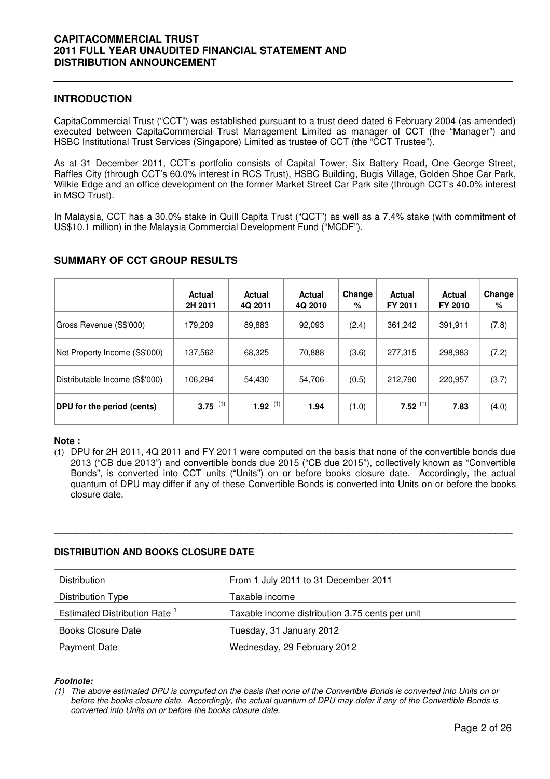## **INTRODUCTION**

CapitaCommercial Trust ("CCT") was established pursuant to a trust deed dated 6 February 2004 (as amended) executed between CapitaCommercial Trust Management Limited as manager of CCT (the "Manager") and HSBC Institutional Trust Services (Singapore) Limited as trustee of CCT (the "CCT Trustee").

As at 31 December 2011, CCT's portfolio consists of Capital Tower, Six Battery Road, One George Street, Raffles City (through CCT's 60.0% interest in RCS Trust), HSBC Building, Bugis Village, Golden Shoe Car Park, Wilkie Edge and an office development on the former Market Street Car Park site (through CCT's 40.0% interest in MSO Trust).

In Malaysia, CCT has a 30.0% stake in Quill Capita Trust ("QCT") as well as a 7.4% stake (with commitment of US\$10.1 million) in the Malaysia Commercial Development Fund ("MCDF").

|                                | <b>Actual</b><br>2H 2011 | Actual<br>4Q 2011 | <b>Actual</b><br>4Q 2010 | Change<br>% | <b>Actual</b><br>FY 2011 | <b>Actual</b><br>FY 2010 | Change<br>% |
|--------------------------------|--------------------------|-------------------|--------------------------|-------------|--------------------------|--------------------------|-------------|
| Gross Revenue (S\$'000)        | 179,209                  | 89,883            | 92,093                   | (2.4)       | 361,242                  | 391,911                  | (7.8)       |
| Net Property Income (S\$'000)  | 137,562                  | 68,325            | 70,888                   | (3.6)       | 277,315                  | 298,983                  | (7.2)       |
| Distributable Income (S\$'000) | 106,294                  | 54,430            | 54,706                   | (0.5)       | 212,790                  | 220,957                  | (3.7)       |
| DPU for the period (cents)     | $3.75$ (1)               | $1.92$ (1)        | 1.94                     | (1.0)       | $7.52^{(1)}$             | 7.83                     | (4.0)       |

# **SUMMARY OF CCT GROUP RESULTS**

## **Note :**

(1) DPU for 2H 2011, 4Q 2011 and FY 2011 were computed on the basis that none of the convertible bonds due 2013 ("CB due 2013") and convertible bonds due 2015 ("CB due 2015"), collectively known as "Convertible Bonds", is converted into CCT units ("Units") on or before books closure date. Accordingly, the actual quantum of DPU may differ if any of these Convertible Bonds is converted into Units on or before the books closure date.

**\_\_\_\_\_\_\_\_\_\_\_\_\_\_\_\_\_\_\_\_\_\_\_\_\_\_\_\_\_\_\_\_\_\_\_\_\_\_\_\_\_\_\_\_\_\_\_\_\_\_\_\_\_\_\_\_\_\_\_\_\_\_\_\_\_\_\_\_\_\_\_\_\_\_\_\_\_\_\_\_\_** 

## **DISTRIBUTION AND BOOKS CLOSURE DATE**

| <b>Distribution</b>                      | From 1 July 2011 to 31 December 2011            |
|------------------------------------------|-------------------------------------------------|
| Distribution Type                        | Taxable income                                  |
| Estimated Distribution Rate <sup>1</sup> | Taxable income distribution 3.75 cents per unit |
| Books Closure Date                       | Tuesday, 31 January 2012                        |
| <b>Payment Date</b>                      | Wednesday, 29 February 2012                     |

#### **Footnote:**

(1) The above estimated DPU is computed on the basis that none of the Convertible Bonds is converted into Units on or before the books closure date. Accordingly, the actual quantum of DPU may defer if any of the Convertible Bonds is converted into Units on or before the books closure date.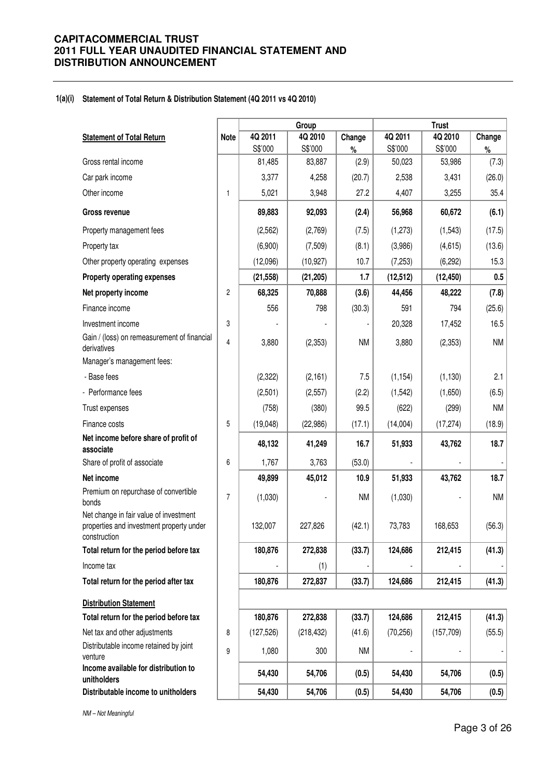#### **1(a)(i) Statement of Total Return & Distribution Statement (4Q 2011 vs 4Q 2010)**

|                                                                                                    |                |                   | Group             |               |                   | <b>Trust</b>      |               |  |
|----------------------------------------------------------------------------------------------------|----------------|-------------------|-------------------|---------------|-------------------|-------------------|---------------|--|
| <b>Statement of Total Return</b>                                                                   | <b>Note</b>    | 4Q 2011           | 4Q 2010           | Change        | 4Q 2011           | 4Q 2010           | Change        |  |
| Gross rental income                                                                                |                | S\$'000<br>81,485 | S\$'000<br>83,887 | $\%$<br>(2.9) | S\$'000<br>50,023 | S\$'000<br>53,986 | $\%$<br>(7.3) |  |
| Car park income                                                                                    |                | 3,377             | 4,258             | (20.7)        | 2,538             | 3,431             | (26.0)        |  |
| Other income                                                                                       | $\mathbf{1}$   | 5,021             | 3,948             | 27.2          | 4,407             | 3,255             | 35.4          |  |
|                                                                                                    |                |                   |                   |               |                   |                   |               |  |
| Gross revenue                                                                                      |                | 89,883            | 92,093            | (2.4)         | 56,968            | 60,672            | (6.1)         |  |
| Property management fees                                                                           |                | (2,562)           | (2,769)           | (7.5)         | (1, 273)          | (1, 543)          | (17.5)        |  |
| Property tax                                                                                       |                | (6,900)           | (7,509)           | (8.1)         | (3,986)           | (4,615)           | (13.6)        |  |
| Other property operating expenses                                                                  |                | (12,096)          | (10, 927)         | 10.7          | (7,253)           | (6, 292)          | 15.3          |  |
| Property operating expenses                                                                        |                | (21, 558)         | (21, 205)         | 1.7           | (12, 512)         | (12, 450)         | 0.5           |  |
| Net property income                                                                                | 2              | 68,325            | 70,888            | (3.6)         | 44,456            | 48,222            | (7.8)         |  |
| Finance income                                                                                     |                | 556               | 798               | (30.3)        | 591               | 794               | (25.6)        |  |
| Investment income                                                                                  | 3              |                   |                   |               | 20,328            | 17,452            | 16.5          |  |
| Gain / (loss) on remeasurement of financial<br>derivatives                                         | $\overline{4}$ | 3,880             | (2,353)           | <b>NM</b>     | 3,880             | (2,353)           | <b>NM</b>     |  |
| Manager's management fees:                                                                         |                |                   |                   |               |                   |                   |               |  |
| - Base fees                                                                                        |                | (2, 322)          | (2, 161)          | 7.5           | (1, 154)          | (1, 130)          | 2.1           |  |
| - Performance fees                                                                                 |                | (2,501)           | (2,557)           | (2.2)         | (1,542)           | (1,650)           | (6.5)         |  |
| Trust expenses                                                                                     |                | (758)             | (380)             | 99.5          | (622)             | (299)             | <b>NM</b>     |  |
| Finance costs                                                                                      | 5              | (19,048)          | (22,986)          | (17.1)        | (14,004)          | (17, 274)         | (18.9)        |  |
| Net income before share of profit of<br>associate                                                  |                | 48,132            | 41,249            | 16.7          | 51,933            | 43,762            | 18.7          |  |
| Share of profit of associate                                                                       | 6              | 1,767             | 3,763             | (53.0)        |                   |                   |               |  |
| Net income                                                                                         |                | 49,899            | 45,012            | 10.9          | 51,933            | 43,762            | 18.7          |  |
| Premium on repurchase of convertible<br>bonds                                                      | $\overline{7}$ | (1,030)           |                   | <b>NM</b>     | (1,030)           |                   | <b>NM</b>     |  |
| Net change in fair value of investment<br>properties and investment property under<br>construction |                | 132,007           | 227,826           | (42.1)        | 73,783            | 168,653           | (56.3)        |  |
| Total return for the period before tax                                                             |                | 180,876           | 272,838           | (33.7)        | 124,686           | 212,415           | (41.3)        |  |
| Income tax                                                                                         |                |                   | (1)               |               |                   |                   |               |  |
| Total return for the period after tax                                                              |                | 180,876           | 272,837           | (33.7)        | 124,686           | 212,415           | (41.3)        |  |
| <b>Distribution Statement</b>                                                                      |                |                   |                   |               |                   |                   |               |  |
| Total return for the period before tax                                                             |                | 180,876           | 272,838           | (33.7)        | 124,686           | 212,415           | (41.3)        |  |
| Net tax and other adjustments                                                                      | 8              | (127, 526)        | (218, 432)        | (41.6)        | (70, 256)         | (157, 709)        | (55.5)        |  |
| Distributable income retained by joint<br>venture                                                  | 9              | 1,080             | 300               | <b>NM</b>     |                   |                   |               |  |
| Income available for distribution to<br>unitholders                                                |                | 54,430            | 54,706            | (0.5)         | 54,430            | 54,706            | (0.5)         |  |
| Distributable income to unitholders                                                                |                | 54,430            | 54,706            | (0.5)         | 54,430            | 54,706            | (0.5)         |  |

NM – Not Meaningful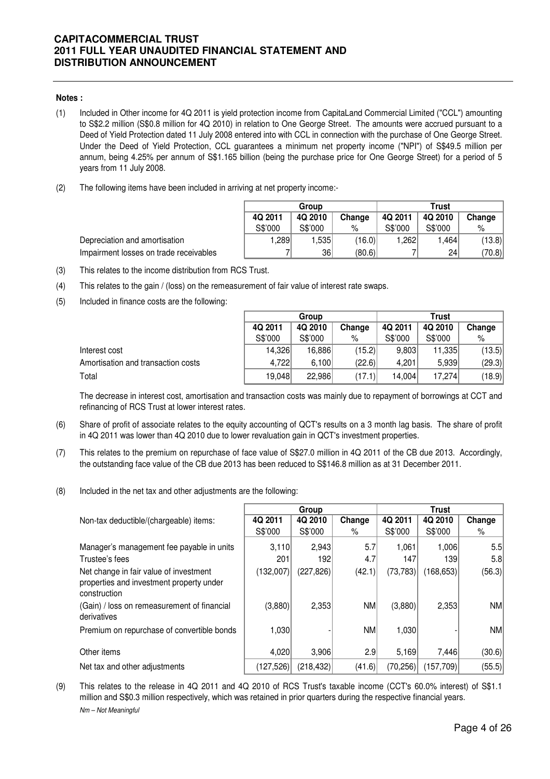#### **Notes :**

- (1) Included in Other income for 4Q 2011 is yield protection income from CapitaLand Commercial Limited ("CCL") amounting to S\$2.2 million (S\$0.8 million for 4Q 2010) in relation to One George Street. The amounts were accrued pursuant to a Deed of Yield Protection dated 11 July 2008 entered into with CCL in connection with the purchase of One George Street. Under the Deed of Yield Protection, CCL guarantees a minimum net property income ("NPI") of S\$49.5 million per annum, being 4.25% per annum of S\$1.165 billion (being the purchase price for One George Street) for a period of 5 years from 11 July 2008.
- (2) The following items have been included in arriving at net property income:-

|         | Group   |        | Trust   |         |        |  |  |
|---------|---------|--------|---------|---------|--------|--|--|
| 4Q 2011 | 4Q 2010 | Change | 4Q 2011 | 4Q 2010 | Change |  |  |
| S\$'000 | S\$'000 | %      | S\$'000 | S\$'000 | %      |  |  |
| 1,289   | 1,535   | (16.0) | 1,262   | 1,464   | (13.8) |  |  |
|         | 36      | (80.6) |         | 24      | (70.8) |  |  |

Depreciation and amortisation Impairment losses on trade receivables

- (3) This relates to the income distribution from RCS Trust.
- (4) This relates to the gain / (loss) on the remeasurement of fair value of interest rate swaps.
- (5) Included in finance costs are the following:

|                                    | Group   |         |        | Trust   |         |        |
|------------------------------------|---------|---------|--------|---------|---------|--------|
|                                    | 4Q 2011 | 4Q 2010 | Change | 4Q 2011 | 4Q 2010 | Change |
|                                    | S\$'000 | S\$'000 | %      | S\$'000 | S\$'000 | %      |
| Interest cost                      | 14.326  | 16,886  | (15.2) | 9.803   | 11,335  | (13.5) |
| Amortisation and transaction costs | 4.722   | 6.100   | (22.6) | 4.201   | 5.939   | (29.3) |
| Total                              | 19.048  | 22.986  | (17.1) | 14.004  | 17.274  | (18.9) |

The decrease in interest cost, amortisation and transaction costs was mainly due to repayment of borrowings at CCT and refinancing of RCS Trust at lower interest rates.

- (6) Share of profit of associate relates to the equity accounting of QCT's results on a 3 month lag basis. The share of profit in 4Q 2011 was lower than 4Q 2010 due to lower revaluation gain in QCT's investment properties.
- (7) This relates to the premium on repurchase of face value of S\$27.0 million in 4Q 2011 of the CB due 2013. Accordingly, the outstanding face value of the CB due 2013 has been reduced to S\$146.8 million as at 31 December 2011.
- (8) Included in the net tax and other adjustments are the following:

|                                                                                                    |            | Group      |           | <b>Trust</b> |            |           |
|----------------------------------------------------------------------------------------------------|------------|------------|-----------|--------------|------------|-----------|
| Non-tax deductible/(chargeable) items:                                                             | 4Q 2011    | 4Q 2010    | Change    | 4Q 2011      | 4Q 2010    | Change    |
|                                                                                                    | S\$'000    | S\$'000    | %         | S\$'000      | S\$'000    | %         |
| Manager's management fee payable in units                                                          | 3,110      | 2,943      | 5.7       | 1,061        | 1,006      | 5.5       |
| Trustee's fees                                                                                     | 201        | 192        | 4.7       | 147          | 1391       | 5.8       |
| Net change in fair value of investment<br>properties and investment property under<br>construction | (132,007)  | (227, 826) | (42.1)    | (73, 783)    | (168, 653) | (56.3)    |
| (Gain) / loss on remeasurement of financial<br>derivatives                                         | (3,880)    | 2,353      | <b>NM</b> | (3,880)      | 2,353      | <b>NM</b> |
| Premium on repurchase of convertible bonds                                                         | 1,030      |            | <b>NM</b> | 1,030        |            | <b>NM</b> |
| Other items                                                                                        | 4,020      | 3,906      | 2.9       | 5,169        | 7,446      | (30.6)    |
| Net tax and other adjustments                                                                      | (127, 526) | (218,432)  | (41.6)    | (70, 256)    | (157,709)  | (55.5)    |

(9) Nm – Not Meaningful This relates to the release in 4Q 2011 and 4Q 2010 of RCS Trust's taxable income (CCT's 60.0% interest) of S\$1.1 million and S\$0.3 million respectively, which was retained in prior quarters during the respective financial years.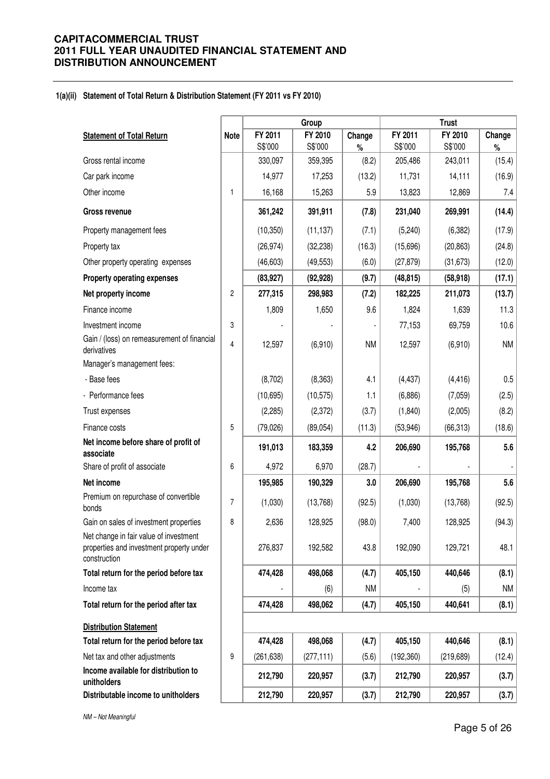#### **1(a)(ii) Statement of Total Return & Distribution Statement (FY 2011 vs FY 2010)**

|                                                                                                    |                |            | Group      |           |            | <b>Trust</b> |           |
|----------------------------------------------------------------------------------------------------|----------------|------------|------------|-----------|------------|--------------|-----------|
| <b>Statement of Total Return</b>                                                                   | <b>Note</b>    | FY 2011    | FY 2010    | Change    | FY 2011    | FY 2010      | Change    |
|                                                                                                    |                | S\$'000    | S\$'000    | $\%$      | S\$'000    | S\$'000      | $\%$      |
| Gross rental income                                                                                |                | 330,097    | 359,395    | (8.2)     | 205,486    | 243,011      | (15.4)    |
| Car park income                                                                                    |                | 14,977     | 17,253     | (13.2)    | 11,731     | 14,111       | (16.9)    |
| Other income                                                                                       | 1              | 16,168     | 15,263     | 5.9       | 13,823     | 12,869       | 7.4       |
| <b>Gross revenue</b>                                                                               |                | 361,242    | 391,911    | (7.8)     | 231,040    | 269,991      | (14.4)    |
| Property management fees                                                                           |                | (10, 350)  | (11, 137)  | (7.1)     | (5, 240)   | (6, 382)     | (17.9)    |
| Property tax                                                                                       |                | (26, 974)  | (32, 238)  | (16.3)    | (15,696)   | (20, 863)    | (24.8)    |
| Other property operating expenses                                                                  |                | (46, 603)  | (49, 553)  | (6.0)     | (27, 879)  | (31, 673)    | (12.0)    |
| Property operating expenses                                                                        |                | (83, 927)  | (92, 928)  | (9.7)     | (48, 815)  | (58, 918)    | (17.1)    |
| Net property income                                                                                | $\overline{c}$ | 277,315    | 298,983    | (7.2)     | 182,225    | 211,073      | (13.7)    |
| Finance income                                                                                     |                | 1,809      | 1,650      | 9.6       | 1,824      | 1,639        | 11.3      |
| Investment income                                                                                  | 3              |            |            |           | 77,153     | 69,759       | 10.6      |
| Gain / (loss) on remeasurement of financial<br>derivatives                                         | 4              | 12,597     | (6,910)    | <b>NM</b> | 12,597     | (6,910)      | <b>NM</b> |
| Manager's management fees:                                                                         |                |            |            |           |            |              |           |
| - Base fees                                                                                        |                | (8,702)    | (8, 363)   | 4.1       | (4, 437)   | (4, 416)     | 0.5       |
| - Performance fees                                                                                 |                | (10, 695)  | (10, 575)  | 1.1       | (6,886)    | (7,059)      | (2.5)     |
| Trust expenses                                                                                     |                | (2, 285)   | (2,372)    | (3.7)     | (1,840)    | (2,005)      | (8.2)     |
| Finance costs                                                                                      | 5              | (79, 026)  | (89, 054)  | (11.3)    | (53, 946)  | (66, 313)    | (18.6)    |
| Net income before share of profit of<br>associate                                                  |                | 191,013    | 183,359    | 4.2       | 206,690    | 195,768      | 5.6       |
| Share of profit of associate                                                                       | 6              | 4,972      | 6,970      | (28.7)    |            |              |           |
| Net income                                                                                         |                | 195,985    | 190,329    | 3.0       | 206,690    | 195,768      | 5.6       |
| Premium on repurchase of convertible<br>bonds                                                      | 7              | (1,030)    | (13,768)   | (92.5)    | (1,030)    | (13, 768)    | (92.5)    |
| Gain on sales of investment properties                                                             | 8              | 2,636      | 128,925    | (98.0)    | 7,400      | 128,925      | (94.3)    |
| Net change in fair value of investment<br>properties and investment property under<br>construction |                | 276,837    | 192,582    | 43.8      | 192,090    | 129,721      | 48.1      |
| Total return for the period before tax                                                             |                | 474,428    | 498,068    | (4.7)     | 405,150    | 440,646      | (8.1)     |
| Income tax                                                                                         |                |            | (6)        | <b>NM</b> |            | (5)          | NM        |
| Total return for the period after tax                                                              |                | 474,428    | 498,062    | (4.7)     | 405,150    | 440,641      | (8.1)     |
| <b>Distribution Statement</b>                                                                      |                |            |            |           |            |              |           |
| Total return for the period before tax                                                             |                | 474,428    | 498,068    | (4.7)     | 405,150    | 440,646      | (8.1)     |
| Net tax and other adjustments                                                                      | 9              | (261, 638) | (277, 111) | (5.6)     | (192, 360) | (219, 689)   | (12.4)    |
| Income available for distribution to<br>unitholders                                                |                | 212,790    | 220,957    | (3.7)     | 212,790    | 220,957      | (3.7)     |
| Distributable income to unitholders                                                                |                | 212,790    | 220,957    | (3.7)     | 212,790    | 220,957      | (3.7)     |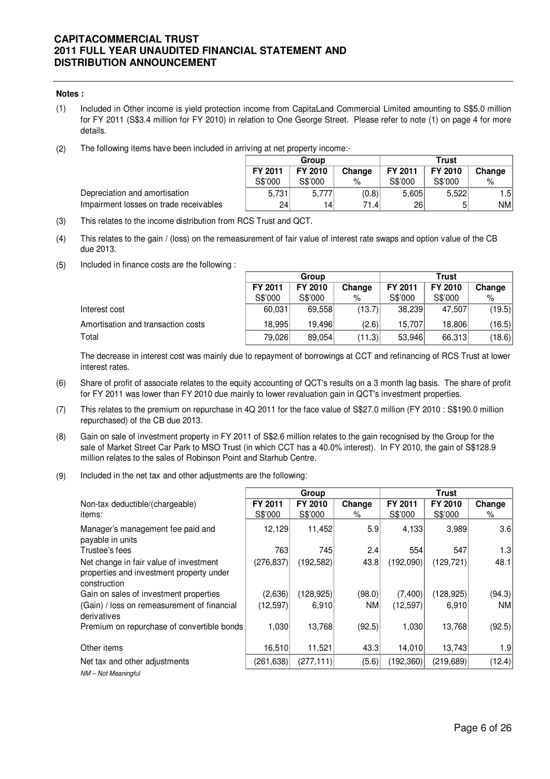#### **Notes :**

- (1) Included in Other income is yield protection income from CapitaLand Commercial Limited amounting to S\$5.0 million for FY 2011 (S\$3.4 million for FY 2010) in relation to One George Street. Please refer to note (1) on page 4 for more details.
- (2) The following items have been included in arriving at net property income:-

|                                        | Group   |                 |        | <b>Trust</b> |         |            |
|----------------------------------------|---------|-----------------|--------|--------------|---------|------------|
|                                        | FY 2011 | FY 2010         | Change | FY 2011      | FY 2010 | Change     |
|                                        | S\$'000 | S\$'000         | %      | S\$'000      | S\$'000 | %          |
| Depreciation and amortisation          | 5.731   | 5,777           | (0.8)  | 5.605        | 5.522   | l .51      |
| Impairment losses on trade receivables | 24      | 14 <sub>1</sub> | 71.41  | 26           | 51      | <b>NMI</b> |

- (3) This relates to the income distribution from RCS Trust and QCT.
- (4) This relates to the gain / (loss) on the remeasurement of fair value of interest rate swaps and option value of the CB due 2013.
- (5) Included in finance costs are the following :

|                                    | Group   |         |        | <b>Trust</b> |         |        |  |
|------------------------------------|---------|---------|--------|--------------|---------|--------|--|
|                                    | FY 2011 | FY 2010 | Change | FY 2011      | FY 2010 | Change |  |
|                                    | S\$'000 | S\$'000 | %      | S\$'000      | S\$'000 | $\%$   |  |
| Interest cost                      | 60,031  | 69.558  | (13.7) | 38,239       | 47.507  | (19.5) |  |
| Amortisation and transaction costs | 18.995  | 19.496  | (2.6)  | 15.707       | 18,806  | (16.5) |  |
| Total                              | 79,026  | 89.054  | (11.3) | 53.946       | 66,313  | (18.6) |  |

The decrease in interest cost was mainly due to repayment of borrowings at CCT and refinancing of RCS Trust at lower interest rates.

- (6) Share of profit of associate relates to the equity accounting of QCT's results on a 3 month lag basis. The share of profit for FY 2011 was lower than FY 2010 due mainly to lower revaluation gain in QCT's investment properties.
- (7) This relates to the premium on repurchase in 4Q 2011 for the face value of S\$27.0 million (FY 2010 : S\$190.0 million repurchased) of the CB due 2013.
- (8) Gain on sale of investment property in FY 2011 of S\$2.6 million relates to the gain recognised by the Group for the sale of Market Street Car Park to MSO Trust (in which CCT has a 40.0% interest). In FY 2010, the gain of S\$128.9 million relates to the sales of Robinson Point and Starhub Centre.
- (9) Included in the net tax and other adjustments are the following:

|                                                                                                    |                    | Group              |             |                    | Trust              |             |
|----------------------------------------------------------------------------------------------------|--------------------|--------------------|-------------|--------------------|--------------------|-------------|
| Non-tax deductible/(chargeable)<br>items:                                                          | FY 2011<br>S\$'000 | FY 2010<br>S\$'000 | Change<br>% | FY 2011<br>S\$'000 | FY 2010<br>S\$'000 | Change<br>% |
| Manager's management fee paid and<br>payable in units                                              | 12,129             | 11,452             | 5.9         | 4,133              | 3,989              | 3.6         |
| Trustee's fees                                                                                     | 763                | 745                | 2.4         | 554                | 547                | 1.3         |
| Net change in fair value of investment<br>properties and investment property under<br>construction | (276, 837)         | (192, 582)         | 43.8        | (192,090)          | (129, 721)         | 48.1        |
| Gain on sales of investment properties                                                             | (2,636)            | (128, 925)         | (98.0)      | (7,400)            | (128, 925)         | (94.3)      |
| (Gain) / loss on remeasurement of financial<br>derivatives                                         | (12,597)           | 6,910              | <b>NM</b>   | (12, 597)          | 6,910              | <b>NM</b>   |
| Premium on repurchase of convertible bonds                                                         | 1,030              | 13,768             | (92.5)      | 1,030              | 13,768             | (92.5)      |
| Other items                                                                                        | 16,510             | 11,521             | 43.3        | 14,010             | 13,743             | 1.9         |
| Net tax and other adjustments                                                                      | (261, 638)         | (277, 111)         | (5.6)       | (192, 360)         | (219, 689)         | (12.4)      |
| NM - Not Meaningful                                                                                |                    |                    |             |                    |                    |             |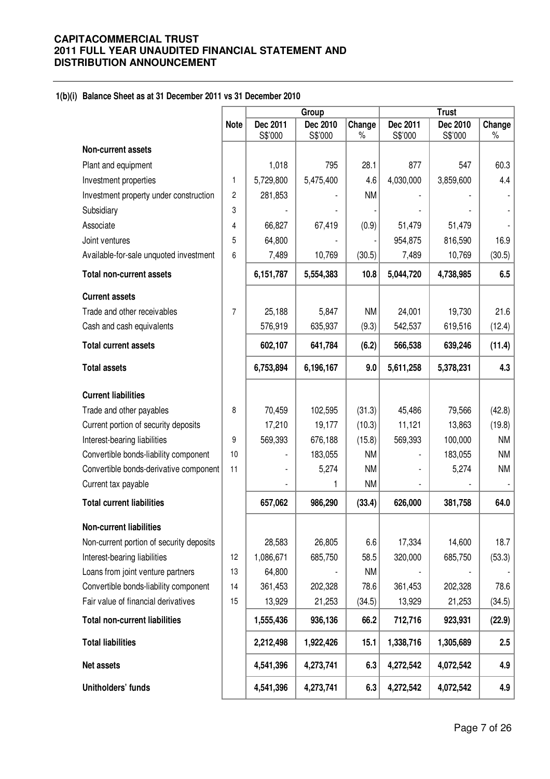#### **1(b)(i) Balance Sheet as at 31 December 2011 vs 31 December 2010**

|                                          |                |                     | Group               |                | <b>Trust</b>        |                     |             |
|------------------------------------------|----------------|---------------------|---------------------|----------------|---------------------|---------------------|-------------|
|                                          | <b>Note</b>    | Dec 2011<br>S\$'000 | Dec 2010<br>S\$'000 | Change<br>$\%$ | Dec 2011<br>S\$'000 | Dec 2010<br>S\$'000 | Change<br>% |
| <b>Non-current assets</b>                |                |                     |                     |                |                     |                     |             |
| Plant and equipment                      |                | 1,018               | 795                 | 28.1           | 877                 | 547                 | 60.3        |
| Investment properties                    | 1              | 5,729,800           | 5,475,400           | 4.6            | 4,030,000           | 3,859,600           | 4.4         |
| Investment property under construction   | $\overline{2}$ | 281,853             |                     | <b>NM</b>      |                     |                     |             |
| Subsidiary                               | 3              |                     |                     |                |                     |                     |             |
| Associate                                | 4              | 66,827              | 67,419              | (0.9)          | 51,479              | 51,479              |             |
| Joint ventures                           | 5              | 64,800              |                     |                | 954,875             | 816,590             | 16.9        |
| Available-for-sale unquoted investment   | 6              | 7,489               | 10,769              | (30.5)         | 7,489               | 10,769              | (30.5)      |
| <b>Total non-current assets</b>          |                | 6,151,787           | 5,554,383           | 10.8           | 5,044,720           | 4,738,985           | 6.5         |
| <b>Current assets</b>                    |                |                     |                     |                |                     |                     |             |
| Trade and other receivables              | $\overline{7}$ | 25,188              | 5,847               | <b>NM</b>      | 24,001              | 19,730              | 21.6        |
| Cash and cash equivalents                |                | 576,919             | 635,937             | (9.3)          | 542,537             | 619,516             | (12.4)      |
| <b>Total current assets</b>              |                | 602,107             | 641,784             | (6.2)          | 566,538             | 639,246             | (11.4)      |
| <b>Total assets</b>                      |                | 6,753,894           | 6,196,167           | 9.0            | 5,611,258           | 5,378,231           | 4.3         |
| <b>Current liabilities</b>               |                |                     |                     |                |                     |                     |             |
| Trade and other payables                 | 8              | 70,459              | 102,595             | (31.3)         | 45,486              | 79,566              | (42.8)      |
| Current portion of security deposits     |                | 17,210              | 19,177              | (10.3)         | 11,121              | 13,863              | (19.8)      |
| Interest-bearing liabilities             | 9              | 569,393             | 676,188             | (15.8)         | 569,393             | 100,000             | <b>NM</b>   |
| Convertible bonds-liability component    | 10             |                     | 183,055             | <b>NM</b>      |                     | 183,055             | <b>NM</b>   |
| Convertible bonds-derivative component   | 11             |                     | 5,274               | <b>NM</b>      |                     | 5,274               | <b>NM</b>   |
| Current tax payable                      |                |                     | 1                   | <b>NM</b>      |                     |                     |             |
| <b>Total current liabilities</b>         |                | 657,062             | 986,290             | (33.4)         | 626,000             | 381,758             | 64.0        |
| <b>Non-current liabilities</b>           |                |                     |                     |                |                     |                     |             |
| Non-current portion of security deposits |                | 28,583              | 26,805              | 6.6            | 17,334              | 14,600              | 18.7        |
| Interest-bearing liabilities             | 12             | 1,086,671           | 685,750             | 58.5           | 320,000             | 685,750             | (53.3)      |
| Loans from joint venture partners        | 13             | 64,800              |                     | <b>NM</b>      |                     |                     |             |
| Convertible bonds-liability component    | 14             | 361,453             | 202,328             | 78.6           | 361,453             | 202,328             | 78.6        |
| Fair value of financial derivatives      | 15             | 13,929              | 21,253              | (34.5)         | 13,929              | 21,253              | (34.5)      |
| <b>Total non-current liabilities</b>     |                | 1,555,436           | 936,136             | 66.2           | 712,716             | 923,931             | (22.9)      |
| <b>Total liabilities</b>                 |                | 2,212,498           | 1,922,426           | 15.1           | 1,338,716           | 1,305,689           | 2.5         |
| Net assets                               |                | 4,541,396           | 4,273,741           | 6.3            | 4,272,542           | 4,072,542           | 4.9         |
| Unitholders' funds                       |                | 4,541,396           | 4,273,741           | 6.3            | 4,272,542           | 4,072,542           | 4.9         |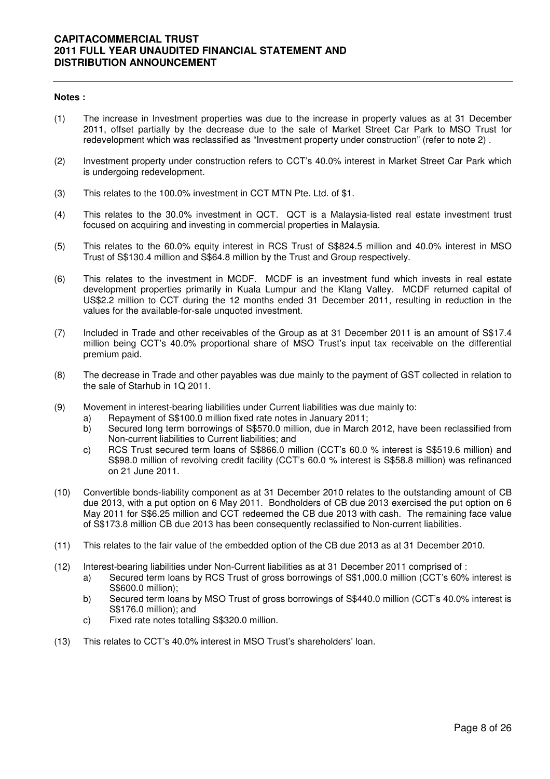#### **Notes :**

- (1) The increase in Investment properties was due to the increase in property values as at 31 December 2011, offset partially by the decrease due to the sale of Market Street Car Park to MSO Trust for redevelopment which was reclassified as "Investment property under construction" (refer to note 2) .
- (2) Investment property under construction refers to CCT's 40.0% interest in Market Street Car Park which is undergoing redevelopment.
- (3) This relates to the 100.0% investment in CCT MTN Pte. Ltd. of \$1.
- (4) This relates to the 30.0% investment in QCT. QCT is a Malaysia-listed real estate investment trust focused on acquiring and investing in commercial properties in Malaysia.
- (5) This relates to the 60.0% equity interest in RCS Trust of S\$824.5 million and 40.0% interest in MSO Trust of S\$130.4 million and S\$64.8 million by the Trust and Group respectively.
- (6) This relates to the investment in MCDF. MCDF is an investment fund which invests in real estate development properties primarily in Kuala Lumpur and the Klang Valley. MCDF returned capital of US\$2.2 million to CCT during the 12 months ended 31 December 2011, resulting in reduction in the values for the available-for-sale unquoted investment.
- (7) Included in Trade and other receivables of the Group as at 31 December 2011 is an amount of S\$17.4 million being CCT's 40.0% proportional share of MSO Trust's input tax receivable on the differential premium paid.
- (8) The decrease in Trade and other payables was due mainly to the payment of GST collected in relation to the sale of Starhub in 1Q 2011.
- (9) Movement in interest-bearing liabilities under Current liabilities was due mainly to:
	- a) Repayment of S\$100.0 million fixed rate notes in January 2011;
	- b) Secured long term borrowings of S\$570.0 million, due in March 2012, have been reclassified from Non-current liabilities to Current liabilities; and
	- c) RCS Trust secured term loans of S\$866.0 million (CCT's 60.0 % interest is S\$519.6 million) and S\$98.0 million of revolving credit facility (CCT's 60.0 % interest is S\$58.8 million) was refinanced on 21 June 2011.
- (10) Convertible bonds-liability component as at 31 December 2010 relates to the outstanding amount of CB due 2013, with a put option on 6 May 2011. Bondholders of CB due 2013 exercised the put option on 6 May 2011 for S\$6.25 million and CCT redeemed the CB due 2013 with cash. The remaining face value of S\$173.8 million CB due 2013 has been consequently reclassified to Non-current liabilities.
- (11) This relates to the fair value of the embedded option of the CB due 2013 as at 31 December 2010.
- (12) Interest-bearing liabilities under Non-Current liabilities as at 31 December 2011 comprised of :
	- a) Secured term loans by RCS Trust of gross borrowings of S\$1,000.0 million (CCT's 60% interest is S\$600.0 million);
	- b) Secured term loans by MSO Trust of gross borrowings of S\$440.0 million (CCT's 40.0% interest is S\$176.0 million); and
	- c) Fixed rate notes totalling S\$320.0 million.
- (13) This relates to CCT's 40.0% interest in MSO Trust's shareholders' loan.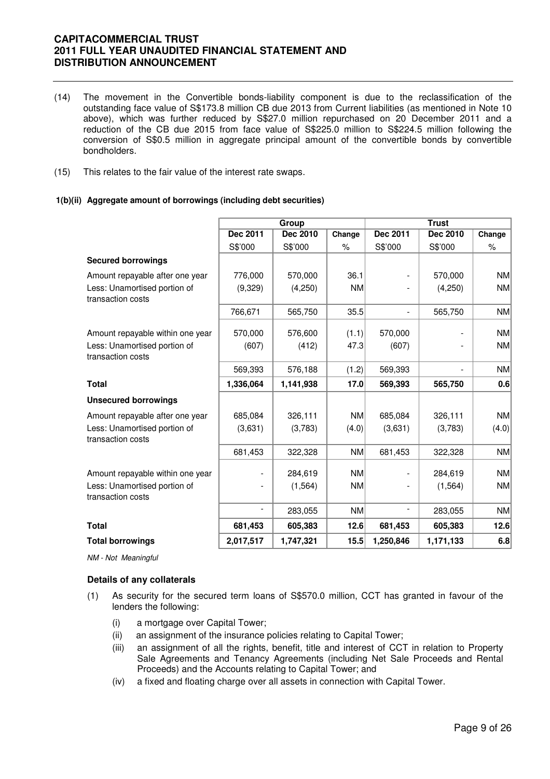- (14) The movement in the Convertible bonds-liability component is due to the reclassification of the outstanding face value of S\$173.8 million CB due 2013 from Current liabilities (as mentioned in Note 10 above), which was further reduced by S\$27.0 million repurchased on 20 December 2011 and a reduction of the CB due 2015 from face value of S\$225.0 million to S\$224.5 million following the conversion of S\$0.5 million in aggregate principal amount of the convertible bonds by convertible bondholders.
- (15) This relates to the fair value of the interest rate swaps.

#### **1(b)(ii) Aggregate amount of borrowings (including debt securities)**

|                                                   |                          | Group     |           | <b>Trust</b>    |                          |           |
|---------------------------------------------------|--------------------------|-----------|-----------|-----------------|--------------------------|-----------|
|                                                   | Dec 2011                 | Dec 2010  | Change    | <b>Dec 2011</b> | Dec 2010                 | Change    |
|                                                   | S\$'000                  | S\$'000   | $\%$      | S\$'000         | S\$'000                  | $\%$      |
| <b>Secured borrowings</b>                         |                          |           |           |                 |                          |           |
| Amount repayable after one year                   | 776,000                  | 570,000   | 36.1      |                 | 570,000                  | <b>NM</b> |
| Less: Unamortised portion of<br>transaction costs | (9,329)                  | (4,250)   | <b>NM</b> |                 | (4,250)                  | <b>NM</b> |
|                                                   | 766,671                  | 565,750   | 35.5      | $\blacksquare$  | 565,750                  | NM        |
| Amount repayable within one year                  | 570,000                  | 576,600   | (1.1)     | 570,000         |                          | <b>NM</b> |
| Less: Unamortised portion of<br>transaction costs | (607)                    | (412)     | 47.3      | (607)           |                          | NM        |
|                                                   | 569,393                  | 576,188   | (1.2)     | 569,393         | $\overline{\phantom{a}}$ | NM        |
| <b>Total</b>                                      | 1,336,064                | 1,141,938 | 17.0      | 569,393         | 565,750                  | 0.6       |
| <b>Unsecured borrowings</b>                       |                          |           |           |                 |                          |           |
| Amount repayable after one year                   | 685,084                  | 326,111   | <b>NM</b> | 685,084         | 326,111                  | NM        |
| Less: Unamortised portion of<br>transaction costs | (3,631)                  | (3,783)   | (4.0)     | (3,631)         | (3,783)                  | (4.0)     |
|                                                   | 681,453                  | 322,328   | NM        | 681,453         | 322,328                  | NM        |
| Amount repayable within one year                  |                          | 284,619   | <b>NM</b> |                 | 284,619                  | <b>NM</b> |
| Less: Unamortised portion of<br>transaction costs |                          | (1, 564)  | <b>NM</b> |                 | (1, 564)                 | NM        |
|                                                   | $\overline{\phantom{a}}$ | 283,055   | NM        |                 | 283,055                  | NM        |
| <b>Total</b>                                      | 681,453                  | 605,383   | 12.6      | 681,453         | 605,383                  | 12.6      |
| <b>Total borrowings</b>                           | 2,017,517                | 1,747,321 | 15.5      | 1,250,846       | 1,171,133                | 6.8       |

NM - Not Meaningful

#### **Details of any collaterals**

- (1) As security for the secured term loans of S\$570.0 million, CCT has granted in favour of the lenders the following:
	- (i) a mortgage over Capital Tower;
	- (ii) an assignment of the insurance policies relating to Capital Tower;
	- (iii) an assignment of all the rights, benefit, title and interest of CCT in relation to Property Sale Agreements and Tenancy Agreements (including Net Sale Proceeds and Rental Proceeds) and the Accounts relating to Capital Tower; and
	- (iv) a fixed and floating charge over all assets in connection with Capital Tower.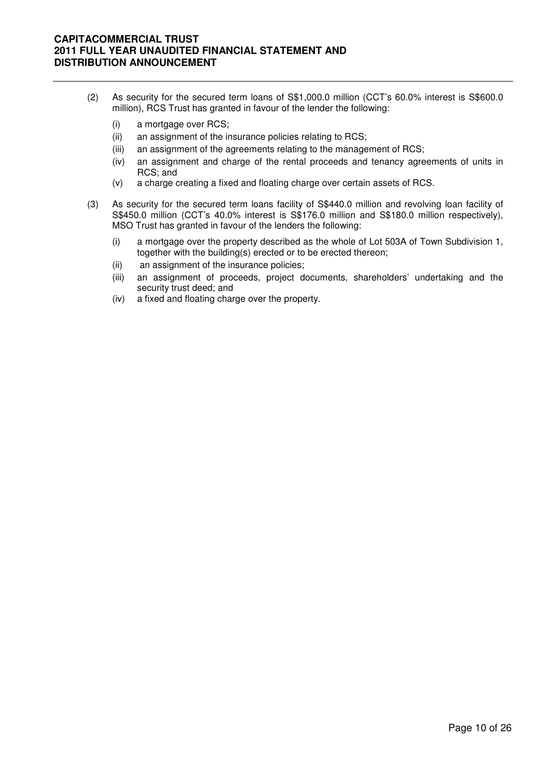- (2) As security for the secured term loans of S\$1,000.0 million (CCT's 60.0% interest is S\$600.0 million), RCS Trust has granted in favour of the lender the following:
	- (i) a mortgage over RCS;
	- (ii) an assignment of the insurance policies relating to RCS;
	- (iii) an assignment of the agreements relating to the management of RCS;
	- (iv) an assignment and charge of the rental proceeds and tenancy agreements of units in RCS; and
	- (v) a charge creating a fixed and floating charge over certain assets of RCS.
- (3) As security for the secured term loans facility of S\$440.0 million and revolving loan facility of S\$450.0 million (CCT's 40.0% interest is S\$176.0 million and S\$180.0 million respectively), MSO Trust has granted in favour of the lenders the following:
	- (i) a mortgage over the property described as the whole of Lot 503A of Town Subdivision 1, together with the building(s) erected or to be erected thereon;
	- (ii) an assignment of the insurance policies;
	- (iii) an assignment of proceeds, project documents, shareholders' undertaking and the security trust deed; and
	- (iv) a fixed and floating charge over the property.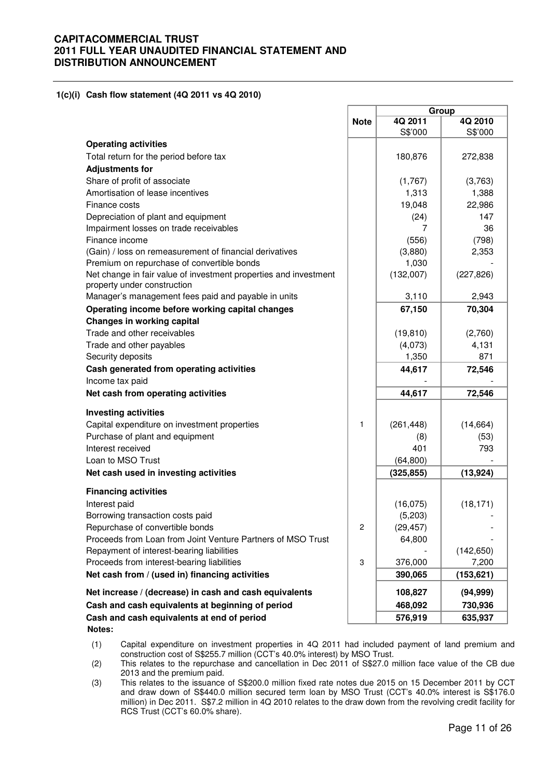**1(c)(i) Cash flow statement (4Q 2011 vs 4Q 2010)** 

|                                                                                                 |             | Group              |                    |  |
|-------------------------------------------------------------------------------------------------|-------------|--------------------|--------------------|--|
|                                                                                                 | <b>Note</b> | 4Q 2011<br>S\$'000 | 4Q 2010<br>S\$'000 |  |
| <b>Operating activities</b>                                                                     |             |                    |                    |  |
| Total return for the period before tax                                                          |             | 180,876            | 272,838            |  |
| <b>Adjustments for</b>                                                                          |             |                    |                    |  |
| Share of profit of associate                                                                    |             | (1,767)            | (3,763)            |  |
| Amortisation of lease incentives                                                                |             | 1,313              | 1,388              |  |
| Finance costs                                                                                   |             | 19,048             | 22,986             |  |
| Depreciation of plant and equipment                                                             |             | (24)               | 147                |  |
| Impairment losses on trade receivables                                                          |             | 7                  | 36                 |  |
| Finance income                                                                                  |             | (556)              | (798)              |  |
| (Gain) / loss on remeasurement of financial derivatives                                         |             | (3,880)            | 2,353              |  |
| Premium on repurchase of convertible bonds                                                      |             | 1,030              |                    |  |
| Net change in fair value of investment properties and investment<br>property under construction |             | (132,007)          | (227, 826)         |  |
| Manager's management fees paid and payable in units                                             |             | 3,110              | 2,943              |  |
| Operating income before working capital changes<br>Changes in working capital                   |             | 67,150             | 70,304             |  |
| Trade and other receivables                                                                     |             | (19, 810)          | (2,760)            |  |
| Trade and other payables                                                                        |             | (4,073)            | 4,131              |  |
| Security deposits                                                                               |             | 1,350              | 871                |  |
| Cash generated from operating activities                                                        |             |                    |                    |  |
| Income tax paid                                                                                 |             | 44,617             | 72,546             |  |
| Net cash from operating activities                                                              |             | 44,617             | 72,546             |  |
|                                                                                                 |             |                    |                    |  |
| <b>Investing activities</b>                                                                     |             |                    |                    |  |
| Capital expenditure on investment properties                                                    | 1           | (261, 448)         | (14, 664)          |  |
| Purchase of plant and equipment                                                                 |             | (8)                | (53)               |  |
| Interest received                                                                               |             | 401                | 793                |  |
| Loan to MSO Trust                                                                               |             | (64, 800)          |                    |  |
| Net cash used in investing activities                                                           |             | (325, 855)         | (13, 924)          |  |
| <b>Financing activities</b>                                                                     |             |                    |                    |  |
| Interest paid                                                                                   |             | (16,075)           | (18, 171)          |  |
| Borrowing transaction costs paid                                                                |             | (5,203)            |                    |  |
| Repurchase of convertible bonds                                                                 | 2           | (29, 457)          |                    |  |
| Proceeds from Loan from Joint Venture Partners of MSO Trust                                     |             | 64,800             |                    |  |
| Repayment of interest-bearing liabilities                                                       |             |                    | (142, 650)         |  |
| Proceeds from interest-bearing liabilities                                                      | 3           | 376,000            | 7,200              |  |
| Net cash from / (used in) financing activities                                                  |             | 390,065            | (153, 621)         |  |
| Net increase / (decrease) in cash and cash equivalents                                          |             | 108,827            | (94, 999)          |  |
| Cash and cash equivalents at beginning of period                                                |             | 468,092            | 730,936            |  |
| Cash and cash equivalents at end of period<br>Notes:                                            |             | 576,919            | 635,937            |  |

(1) Capital expenditure on investment properties in 4Q 2011 had included payment of land premium and construction cost of S\$255.7 million (CCT's 40.0% interest) by MSO Trust.

(2) This relates to the repurchase and cancellation in Dec 2011 of S\$27.0 million face value of the CB due 2013 and the premium paid.

(3) This relates to the issuance of S\$200.0 million fixed rate notes due 2015 on 15 December 2011 by CCT and draw down of S\$440.0 million secured term loan by MSO Trust (CCT's 40.0% interest is S\$176.0 million) in Dec 2011. S\$7.2 million in 4Q 2010 relates to the draw down from the revolving credit facility for RCS Trust (CCT's 60.0% share).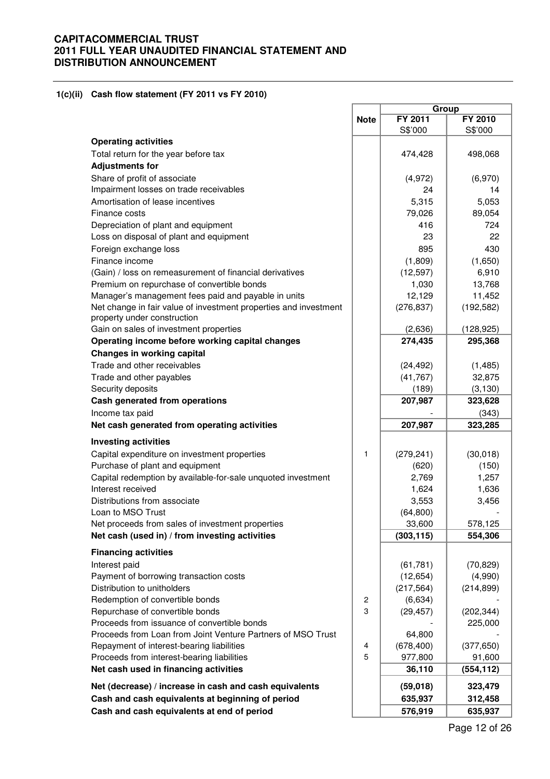#### **1(c)(ii) Cash flow statement (FY 2011 vs FY 2010)**

|                                                                  |                | Group      |                |
|------------------------------------------------------------------|----------------|------------|----------------|
|                                                                  | <b>Note</b>    | FY 2011    | <b>FY 2010</b> |
|                                                                  |                | S\$'000    | S\$'000        |
| <b>Operating activities</b>                                      |                |            |                |
| Total return for the year before tax                             |                | 474,428    | 498,068        |
| <b>Adjustments for</b>                                           |                |            |                |
| Share of profit of associate                                     |                | (4,972)    | (6,970)        |
| Impairment losses on trade receivables                           |                | 24         | 14             |
| Amortisation of lease incentives                                 |                | 5,315      | 5,053          |
| Finance costs                                                    |                | 79,026     | 89,054         |
| Depreciation of plant and equipment                              |                | 416        | 724            |
| Loss on disposal of plant and equipment                          |                | 23         | 22             |
| Foreign exchange loss                                            |                | 895        | 430            |
| Finance income                                                   |                |            |                |
|                                                                  |                | (1,809)    | (1,650)        |
| (Gain) / loss on remeasurement of financial derivatives          |                | (12, 597)  | 6,910          |
| Premium on repurchase of convertible bonds                       |                | 1,030      | 13,768         |
| Manager's management fees paid and payable in units              |                | 12,129     | 11,452         |
| Net change in fair value of investment properties and investment |                | (276, 837) | (192, 582)     |
| property under construction                                      |                |            |                |
| Gain on sales of investment properties                           |                | (2,636)    | (128, 925)     |
| Operating income before working capital changes                  |                | 274,435    | 295,368        |
| <b>Changes in working capital</b>                                |                |            |                |
| Trade and other receivables                                      |                | (24, 492)  | (1, 485)       |
| Trade and other payables                                         |                | (41, 767)  | 32,875         |
| Security deposits                                                |                | (189)      | (3, 130)       |
| Cash generated from operations                                   |                | 207,987    | 323,628        |
| Income tax paid                                                  |                |            | (343)          |
| Net cash generated from operating activities                     |                | 207,987    | 323,285        |
| <b>Investing activities</b>                                      |                |            |                |
| Capital expenditure on investment properties                     | 1              | (279, 241) | (30,018)       |
| Purchase of plant and equipment                                  |                | (620)      | (150)          |
| Capital redemption by available-for-sale unquoted investment     |                | 2,769      | 1,257          |
| Interest received                                                |                | 1,624      |                |
| Distributions from associate                                     |                |            | 1,636          |
|                                                                  |                | 3,553      | 3,456          |
| Loan to MSO Trust                                                |                | (64, 800)  |                |
| Net proceeds from sales of investment properties                 |                | 33,600     | 578,125        |
| Net cash (used in) / from investing activities                   |                | (303, 115) | 554,306        |
| <b>Financing activities</b>                                      |                |            |                |
| Interest paid                                                    |                | (61, 781)  | (70, 829)      |
| Payment of borrowing transaction costs                           |                | (12, 654)  | (4,990)        |
| Distribution to unitholders                                      |                | (217, 564) | (214, 899)     |
| Redemption of convertible bonds                                  | $\overline{c}$ | (6,634)    |                |
| Repurchase of convertible bonds                                  | 3              | (29, 457)  | (202, 344)     |
| Proceeds from issuance of convertible bonds                      |                |            | 225,000        |
| Proceeds from Loan from Joint Venture Partners of MSO Trust      |                | 64,800     |                |
| Repayment of interest-bearing liabilities                        | 4              | (678, 400) | (377, 650)     |
| Proceeds from interest-bearing liabilities                       | 5              | 977,800    | 91,600         |
| Net cash used in financing activities                            |                | 36,110     | (554, 112)     |
| Net (decrease) / increase in cash and cash equivalents           |                | (59,018)   | 323,479        |
| Cash and cash equivalents at beginning of period                 |                | 635,937    |                |
|                                                                  |                |            | 312,458        |
| Cash and cash equivalents at end of period                       |                | 576,919    | 635,937        |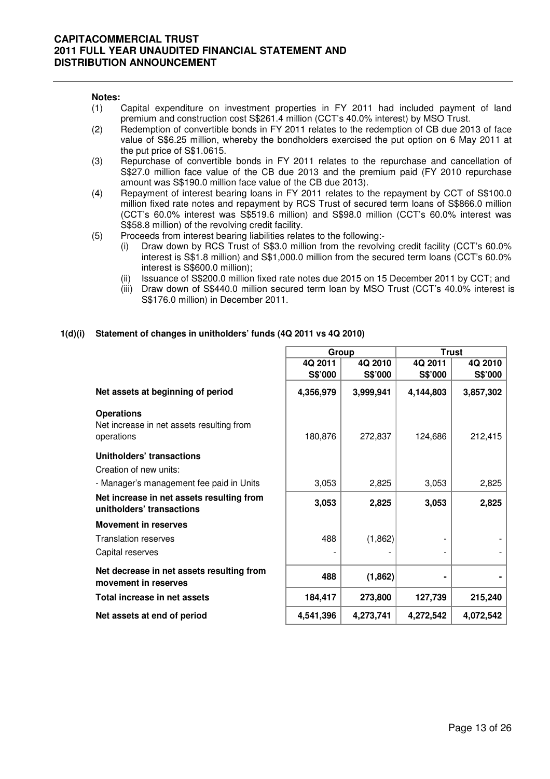#### **Notes:**

- (1) Capital expenditure on investment properties in FY 2011 had included payment of land premium and construction cost S\$261.4 million (CCT's 40.0% interest) by MSO Trust.
- (2) Redemption of convertible bonds in FY 2011 relates to the redemption of CB due 2013 of face value of S\$6.25 million, whereby the bondholders exercised the put option on 6 May 2011 at the put price of S\$1.0615.
- (3) Repurchase of convertible bonds in FY 2011 relates to the repurchase and cancellation of S\$27.0 million face value of the CB due 2013 and the premium paid (FY 2010 repurchase amount was S\$190.0 million face value of the CB due 2013).
- (4) Repayment of interest bearing loans in FY 2011 relates to the repayment by CCT of S\$100.0 million fixed rate notes and repayment by RCS Trust of secured term loans of S\$866.0 million (CCT's 60.0% interest was S\$519.6 million) and S\$98.0 million (CCT's 60.0% interest was S\$58.8 million) of the revolving credit facility.
- (5) Proceeds from interest bearing liabilities relates to the following:-
	- (i) Draw down by RCS Trust of S\$3.0 million from the revolving credit facility (CCT's 60.0% interest is S\$1.8 million) and S\$1,000.0 million from the secured term loans (CCT's 60.0% interest is S\$600.0 million);
	- (ii) Issuance of S\$200.0 million fixed rate notes due 2015 on 15 December 2011 by CCT; and
	- (iii) Draw down of S\$440.0 million secured term loan by MSO Trust (CCT's 40.0% interest is S\$176.0 million) in December 2011.

## **1(d)(i) Statement of changes in unitholders' funds (4Q 2011 vs 4Q 2010)**

|                                                                              | Group     |           | <b>Trust</b> |           |  |
|------------------------------------------------------------------------------|-----------|-----------|--------------|-----------|--|
|                                                                              | 4Q 2011   | 4Q 2010   | 4Q 2011      | 4Q 2010   |  |
|                                                                              | S\$'000   | S\$'000   | S\$'000      | S\$'000   |  |
| Net assets at beginning of period                                            | 4,356,979 | 3,999,941 | 4,144,803    | 3,857,302 |  |
| <b>Operations</b><br>Net increase in net assets resulting from<br>operations | 180,876   | 272,837   | 124,686      | 212,415   |  |
| Unitholders' transactions<br>Creation of new units:                          |           |           |              |           |  |
| - Manager's management fee paid in Units                                     | 3,053     | 2,825     | 3,053        | 2,825     |  |
| Net increase in net assets resulting from<br>unitholders' transactions       | 3,053     | 2,825     | 3,053        | 2,825     |  |
| <b>Movement in reserves</b>                                                  |           |           |              |           |  |
| <b>Translation reserves</b>                                                  | 488       | (1,862)   |              |           |  |
| Capital reserves                                                             |           |           |              |           |  |
| Net decrease in net assets resulting from<br>movement in reserves            | 488       | (1,862)   |              |           |  |
| Total increase in net assets                                                 | 184,417   | 273,800   | 127,739      | 215,240   |  |
| Net assets at end of period                                                  | 4,541,396 | 4,273,741 | 4,272,542    | 4,072,542 |  |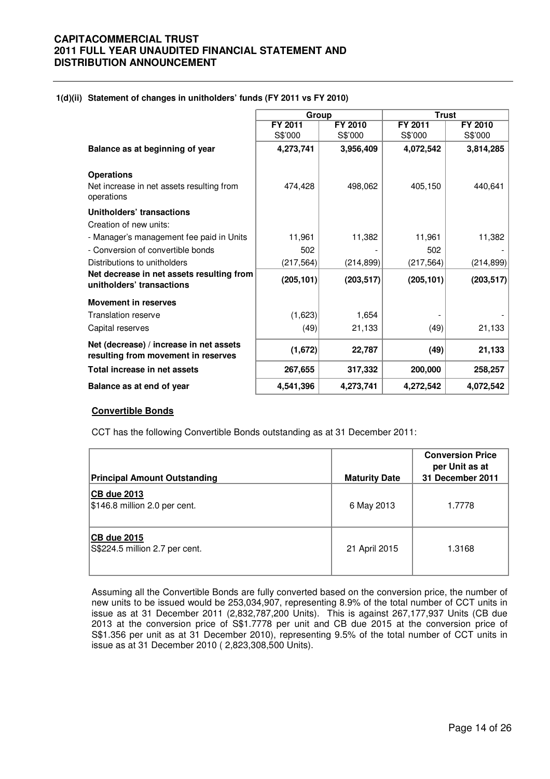### **1(d)(ii) Statement of changes in unitholders' funds (FY 2011 vs FY 2010)**

|                                                                                | Group      |            | <b>Trust</b> |                |
|--------------------------------------------------------------------------------|------------|------------|--------------|----------------|
|                                                                                | FY 2011    | FY 2010    | FY 2011      | <b>FY 2010</b> |
|                                                                                | S\$'000    | S\$'000    | S\$'000      | S\$'000        |
| Balance as at beginning of year                                                | 4,273,741  | 3,956,409  | 4,072,542    | 3,814,285      |
| <b>Operations</b><br>Net increase in net assets resulting from<br>operations   | 474,428    | 498,062    | 405,150      | 440,641        |
| Unitholders' transactions                                                      |            |            |              |                |
| Creation of new units:                                                         |            |            |              |                |
| - Manager's management fee paid in Units                                       | 11,961     | 11,382     | 11,961       | 11,382         |
| - Conversion of convertible bonds                                              | 502        |            | 502          |                |
| Distributions to unitholders                                                   | (217, 564) | (214, 899) | (217, 564)   | (214, 899)     |
| Net decrease in net assets resulting from<br>unitholders' transactions         | (205, 101) | (203, 517) | (205, 101)   | (203, 517)     |
| <b>Movement in reserves</b>                                                    |            |            |              |                |
| Translation reserve                                                            | (1,623)    | 1,654      |              |                |
| Capital reserves                                                               | (49)       | 21,133     | (49)         | 21,133         |
| Net (decrease) / increase in net assets<br>resulting from movement in reserves | (1,672)    | 22,787     | (49)         | 21,133         |
| Total increase in net assets                                                   | 267,655    | 317,332    | 200,000      | 258,257        |
| Balance as at end of year                                                      | 4,541,396  | 4,273,741  | 4,272,542    | 4,072,542      |

## **Convertible Bonds**

CCT has the following Convertible Bonds outstanding as at 31 December 2011:

| <b>Principal Amount Outstanding</b>                  | <b>Maturity Date</b> | <b>Conversion Price</b><br>per Unit as at<br>31 December 2011 |
|------------------------------------------------------|----------------------|---------------------------------------------------------------|
| CB due 2013<br>$$146.8$ million 2.0 per cent.        | 6 May 2013           | 1.7778                                                        |
| <b>CB due 2015</b><br>S\$224.5 million 2.7 per cent. | 21 April 2015        | 1.3168                                                        |

 Assuming all the Convertible Bonds are fully converted based on the conversion price, the number of new units to be issued would be 253,034,907, representing 8.9% of the total number of CCT units in issue as at 31 December 2011 (2,832,787,200 Units). This is against 267,177,937 Units (CB due 2013 at the conversion price of S\$1.7778 per unit and CB due 2015 at the conversion price of S\$1.356 per unit as at 31 December 2010), representing 9.5% of the total number of CCT units in issue as at 31 December 2010 ( 2,823,308,500 Units).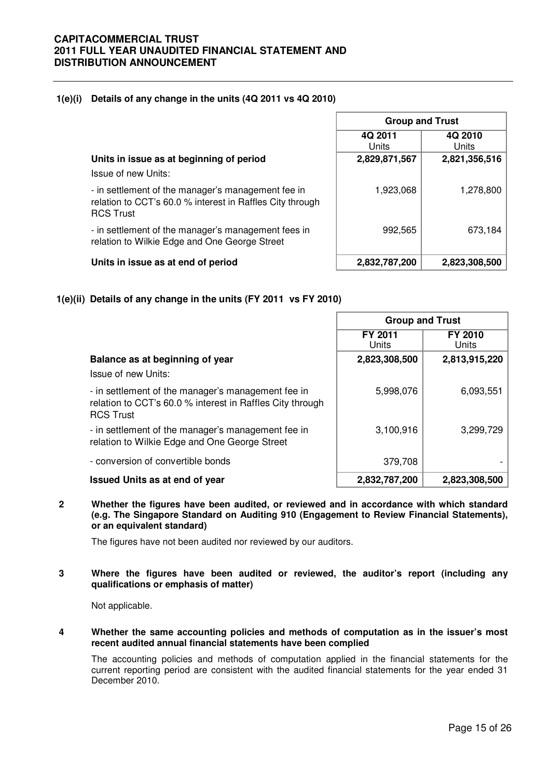## **1(e)(i) Details of any change in the units (4Q 2011 vs 4Q 2010)**

|                                                                                                                                     | 4Q 2011<br>Units | 4Q 2010<br>Units |
|-------------------------------------------------------------------------------------------------------------------------------------|------------------|------------------|
| Units in issue as at beginning of period                                                                                            | 2,829,871,567    | 2,821,356,516    |
| Issue of new Units:                                                                                                                 |                  |                  |
| - in settlement of the manager's management fee in<br>relation to CCT's 60.0 % interest in Raffles City through<br><b>RCS Trust</b> | 1,923,068        | 1,278,800        |
| - in settlement of the manager's management fees in<br>relation to Wilkie Edge and One George Street                                | 992,565          | 673,184          |
| Units in issue as at end of period                                                                                                  | 2,832,787,200    | 2,823,308,500    |

**Group and Trust**

# **1(e)(ii) Details of any change in the units (FY 2011 vs FY 2010)**

|                                                                                                                                     | <b>Group and Trust</b> |                  |  |
|-------------------------------------------------------------------------------------------------------------------------------------|------------------------|------------------|--|
|                                                                                                                                     | FY 2011<br>Units       | FY 2010<br>Units |  |
| Balance as at beginning of year                                                                                                     | 2,823,308,500          | 2,813,915,220    |  |
| Issue of new Units:                                                                                                                 |                        |                  |  |
| - in settlement of the manager's management fee in<br>relation to CCT's 60.0 % interest in Raffles City through<br><b>RCS Trust</b> | 5,998,076              | 6,093,551        |  |
| - in settlement of the manager's management fee in<br>relation to Wilkie Edge and One George Street                                 | 3,100,916              | 3,299,729        |  |
| - conversion of convertible bonds                                                                                                   | 379,708                |                  |  |
| <b>Issued Units as at end of year</b>                                                                                               | 2,832,787,200          | 2,823,308,500    |  |

**2 Whether the figures have been audited, or reviewed and in accordance with which standard (e.g. The Singapore Standard on Auditing 910 (Engagement to Review Financial Statements), or an equivalent standard)** 

The figures have not been audited nor reviewed by our auditors.

### **3 Where the figures have been audited or reviewed, the auditor's report (including any qualifications or emphasis of matter)**

Not applicable.

**4 Whether the same accounting policies and methods of computation as in the issuer's most recent audited annual financial statements have been complied** 

The accounting policies and methods of computation applied in the financial statements for the current reporting period are consistent with the audited financial statements for the year ended 31 December 2010.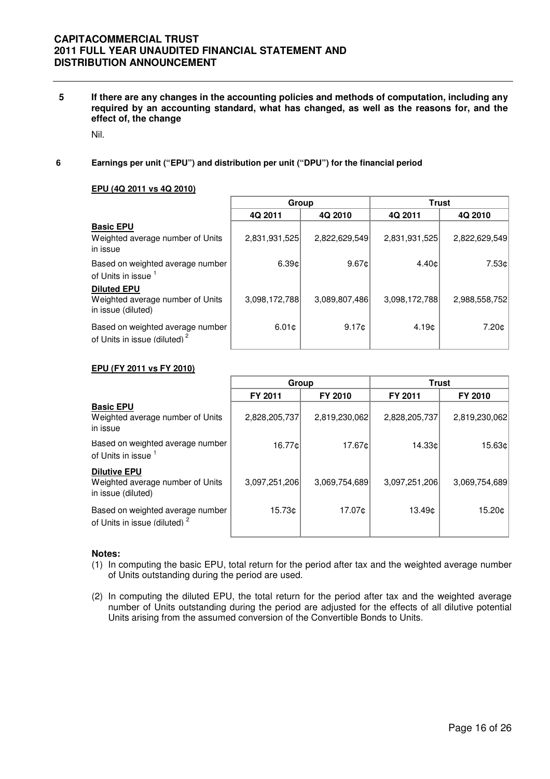**5 If there are any changes in the accounting policies and methods of computation, including any required by an accounting standard, what has changed, as well as the reasons for, and the effect of, the change** 

Nil.

**6 Earnings per unit ("EPU") and distribution per unit ("DPU") for the financial period**

### **EPU (4Q 2011 vs 4Q 2010)**

|                                                                              | Group             |               |                   | <b>Trust</b>  |
|------------------------------------------------------------------------------|-------------------|---------------|-------------------|---------------|
|                                                                              | 4Q 2011           | 4Q 2010       | 4Q 2011           | 4Q 2010       |
| <b>Basic EPU</b><br>Weighted average number of Units<br>in issue             | 2,831,931,525     | 2,822,629,549 | 2,831,931,525     | 2,822,629,549 |
| Based on weighted average number<br>of Units in issue 1                      | 6.39c             | 9.67c         | 4.40 <sub>c</sub> | 7.53c         |
| <b>Diluted EPU</b><br>Weighted average number of Units<br>in issue (diluted) | 3,098,172,788     | 3,089,807,486 | 3,098,172,788     | 2,988,558,752 |
| Based on weighted average number<br>of Units in issue (diluted) <sup>2</sup> | 6.01 <sub>c</sub> | 9.17c         | 4.19 <sub>0</sub> | 7.20c         |

#### **EPU (FY 2011 vs FY 2010)**

|                                                                               | Group         |               | <b>Trust</b>  |               |
|-------------------------------------------------------------------------------|---------------|---------------|---------------|---------------|
|                                                                               | FY 2011       | FY 2010       | FY 2011       | FY 2010       |
| <b>Basic EPU</b><br>Weighted average number of Units<br>in issue              | 2,828,205,737 | 2,819,230,062 | 2,828,205,737 | 2,819,230,062 |
| Based on weighted average number<br>of Units in issue 1                       | 16.77¢l       | 17.67¢        | 14.33c        | 15.63¢        |
| <b>Dilutive EPU</b><br>Weighted average number of Units<br>in issue (diluted) | 3,097,251,206 | 3,069,754,689 | 3,097,251,206 | 3,069,754,689 |
| Based on weighted average number<br>of Units in issue (diluted) <sup>2</sup>  | 15.73¢        | 17.07¢        | 13.49¢        | 15.20¢        |

#### **Notes:**

- (1) In computing the basic EPU, total return for the period after tax and the weighted average number of Units outstanding during the period are used.
- (2) In computing the diluted EPU, the total return for the period after tax and the weighted average number of Units outstanding during the period are adjusted for the effects of all dilutive potential Units arising from the assumed conversion of the Convertible Bonds to Units.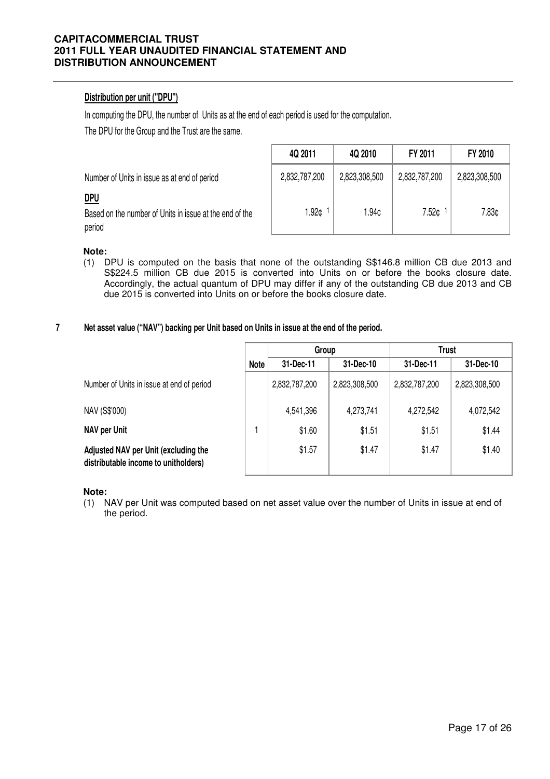# **Distribution per unit ("DPU")**

In computing the DPU, the number of Units as at the end of each period is used for the computation.

The DPU for the Group and the Trust are the same.

|                                                                                 | 4Q 2011       | 4Q 2010       | FY 2011       | FY 2010       |
|---------------------------------------------------------------------------------|---------------|---------------|---------------|---------------|
| Number of Units in issue as at end of period                                    | 2,832,787,200 | 2,823,308,500 | 2,832,787,200 | 2,823,308,500 |
| <u>DPU</u><br>Based on the number of Units in issue at the end of the<br>period | 1.92¢         | 1.94¢         | 7.52¢         | 7.83¢         |

## **Note:**

(1) DPU is computed on the basis that none of the outstanding S\$146.8 million CB due 2013 and S\$224.5 million CB due 2015 is converted into Units on or before the books closure date. Accordingly, the actual quantum of DPU may differ if any of the outstanding CB due 2013 and CB due 2015 is converted into Units on or before the books closure date.

#### **7 Net asset value ("NAV") backing per Unit based on Units in issue at the end of the period.**

|                                                                              |             | Group         |               | <b>Trust</b>  |               |  |
|------------------------------------------------------------------------------|-------------|---------------|---------------|---------------|---------------|--|
|                                                                              | <b>Note</b> | 31-Dec-11     | 31-Dec-10     | 31-Dec-11     | 31-Dec-10     |  |
| Number of Units in issue at end of period                                    |             | 2,832,787,200 | 2,823,308,500 | 2,832,787,200 | 2,823,308,500 |  |
| NAV (S\$'000)                                                                |             | 4,541,396     | 4,273,741     | 4,272,542     | 4,072,542     |  |
| <b>NAV per Unit</b>                                                          |             | \$1.60        | \$1.51        | \$1.51        | \$1.44        |  |
| Adjusted NAV per Unit (excluding the<br>distributable income to unitholders) |             | \$1.57        | \$1.47        | \$1.47        | \$1.40        |  |

**Note:**

(1) NAV per Unit was computed based on net asset value over the number of Units in issue at end of the period.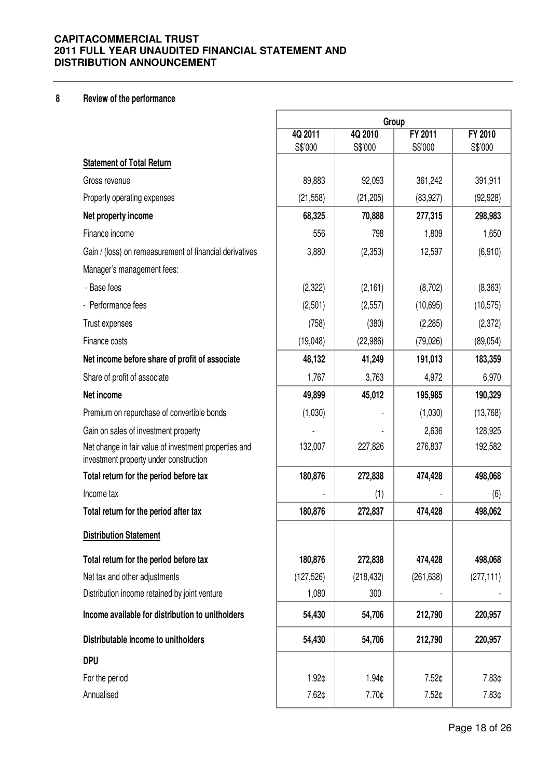# **8 Review of the performance**

|                                                                                                 | Group              |                    |                    |                    |
|-------------------------------------------------------------------------------------------------|--------------------|--------------------|--------------------|--------------------|
|                                                                                                 | 4Q 2011<br>S\$'000 | 4Q 2010<br>S\$'000 | FY 2011<br>S\$'000 | FY 2010<br>S\$'000 |
| <b>Statement of Total Return</b>                                                                |                    |                    |                    |                    |
| Gross revenue                                                                                   | 89,883             | 92,093             | 361,242            | 391,911            |
| Property operating expenses                                                                     | (21, 558)          | (21, 205)          | (83, 927)          | (92, 928)          |
| Net property income                                                                             | 68,325             | 70,888             | 277,315            | 298,983            |
| Finance income                                                                                  | 556                | 798                | 1,809              | 1,650              |
| Gain / (loss) on remeasurement of financial derivatives                                         | 3,880              | (2, 353)           | 12,597             | (6,910)            |
| Manager's management fees:                                                                      |                    |                    |                    |                    |
| - Base fees                                                                                     | (2,322)            | (2, 161)           | (8,702)            | (8,363)            |
| - Performance fees                                                                              | (2,501)            | (2,557)            | (10,695)           | (10, 575)          |
| Trust expenses                                                                                  | (758)              | (380)              | (2,285)            | (2,372)            |
| Finance costs                                                                                   | (19,048)           | (22, 986)          | (79, 026)          | (89, 054)          |
| Net income before share of profit of associate                                                  | 48,132             | 41,249             | 191,013            | 183,359            |
| Share of profit of associate                                                                    | 1,767              | 3,763              | 4,972              | 6,970              |
| Net income                                                                                      | 49,899             | 45,012             | 195,985            | 190,329            |
| Premium on repurchase of convertible bonds                                                      | (1,030)            |                    | (1,030)            | (13,768)           |
| Gain on sales of investment property                                                            |                    |                    | 2,636              | 128,925            |
| Net change in fair value of investment properties and<br>investment property under construction | 132,007            | 227,826            | 276,837            | 192,582            |
| Total return for the period before tax                                                          | 180,876            | 272,838            | 474,428            | 498,068            |
| Income tax                                                                                      |                    | (1)                |                    | (6)                |
| Total return for the period after tax                                                           | 180,876            | 272,837            | 474,428            | 498,062            |
| <b>Distribution Statement</b>                                                                   |                    |                    |                    |                    |
| Total return for the period before tax                                                          | 180,876            | 272,838            | 474,428            | 498,068            |
| Net tax and other adjustments                                                                   | (127, 526)         | (218, 432)         | (261, 638)         | (277, 111)         |
| Distribution income retained by joint venture                                                   | 1,080              | 300                |                    |                    |
| Income available for distribution to unitholders                                                | 54,430             | 54,706             | 212,790            | 220,957            |
| Distributable income to unitholders                                                             | 54,430             | 54,706             | 212,790            | 220,957            |
| <b>DPU</b>                                                                                      |                    |                    |                    |                    |
| For the period                                                                                  | 1.92¢              | 1.94¢              | 7.52¢              | 7.83¢              |
| Annualised                                                                                      | 7.62¢              | 7.70¢              | 7.52¢              | 7.83¢              |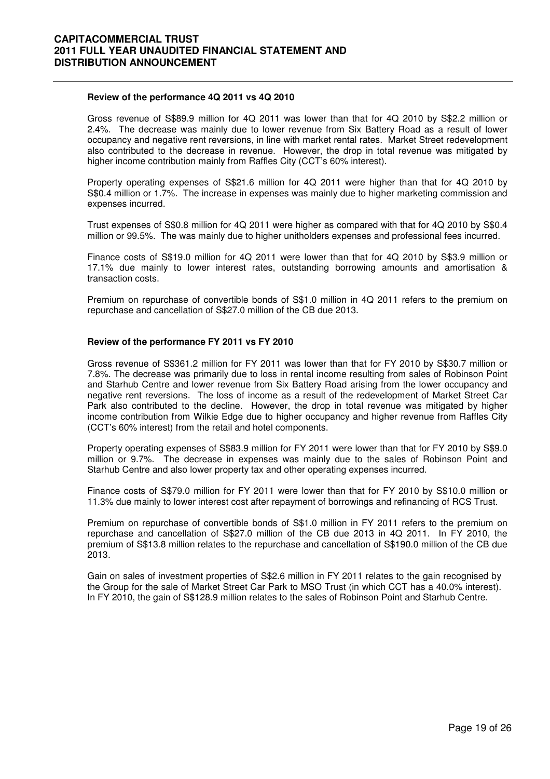#### **Review of the performance 4Q 2011 vs 4Q 2010**

 Gross revenue of S\$89.9 million for 4Q 2011 was lower than that for 4Q 2010 by S\$2.2 million or 2.4%. The decrease was mainly due to lower revenue from Six Battery Road as a result of lower occupancy and negative rent reversions, in line with market rental rates. Market Street redevelopment also contributed to the decrease in revenue. However, the drop in total revenue was mitigated by higher income contribution mainly from Raffles City (CCT's 60% interest).

Property operating expenses of S\$21.6 million for 4Q 2011 were higher than that for 4Q 2010 by S\$0.4 million or 1.7%. The increase in expenses was mainly due to higher marketing commission and expenses incurred.

Trust expenses of S\$0.8 million for 4Q 2011 were higher as compared with that for 4Q 2010 by S\$0.4 million or 99.5%. The was mainly due to higher unitholders expenses and professional fees incurred.

Finance costs of S\$19.0 million for 4Q 2011 were lower than that for 4Q 2010 by S\$3.9 million or 17.1% due mainly to lower interest rates, outstanding borrowing amounts and amortisation & transaction costs.

Premium on repurchase of convertible bonds of S\$1.0 million in 4Q 2011 refers to the premium on repurchase and cancellation of S\$27.0 million of the CB due 2013.

#### **Review of the performance FY 2011 vs FY 2010**

Gross revenue of S\$361.2 million for FY 2011 was lower than that for FY 2010 by S\$30.7 million or 7.8%. The decrease was primarily due to loss in rental income resulting from sales of Robinson Point and Starhub Centre and lower revenue from Six Battery Road arising from the lower occupancy and negative rent reversions. The loss of income as a result of the redevelopment of Market Street Car Park also contributed to the decline. However, the drop in total revenue was mitigated by higher income contribution from Wilkie Edge due to higher occupancy and higher revenue from Raffles City (CCT's 60% interest) from the retail and hotel components.

Property operating expenses of S\$83.9 million for FY 2011 were lower than that for FY 2010 by S\$9.0 million or 9.7%. The decrease in expenses was mainly due to the sales of Robinson Point and Starhub Centre and also lower property tax and other operating expenses incurred.

Finance costs of S\$79.0 million for FY 2011 were lower than that for FY 2010 by S\$10.0 million or 11.3% due mainly to lower interest cost after repayment of borrowings and refinancing of RCS Trust.

Premium on repurchase of convertible bonds of S\$1.0 million in FY 2011 refers to the premium on repurchase and cancellation of S\$27.0 million of the CB due 2013 in 4Q 2011. In FY 2010, the premium of S\$13.8 million relates to the repurchase and cancellation of S\$190.0 million of the CB due 2013.

Gain on sales of investment properties of S\$2.6 million in FY 2011 relates to the gain recognised by the Group for the sale of Market Street Car Park to MSO Trust (in which CCT has a 40.0% interest). In FY 2010, the gain of S\$128.9 million relates to the sales of Robinson Point and Starhub Centre.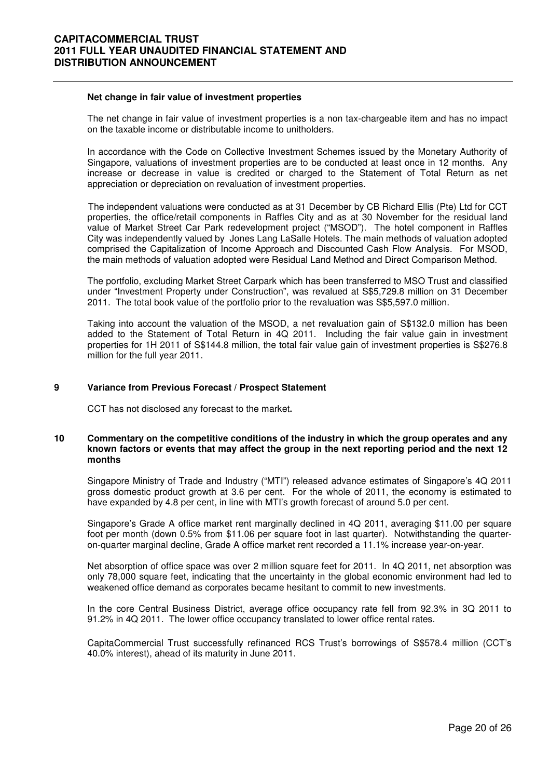#### **Net change in fair value of investment properties**

The net change in fair value of investment properties is a non tax-chargeable item and has no impact on the taxable income or distributable income to unitholders.

In accordance with the Code on Collective Investment Schemes issued by the Monetary Authority of Singapore, valuations of investment properties are to be conducted at least once in 12 months. Any increase or decrease in value is credited or charged to the Statement of Total Return as net appreciation or depreciation on revaluation of investment properties.

The independent valuations were conducted as at 31 December by CB Richard Ellis (Pte) Ltd for CCT properties, the office/retail components in Raffles City and as at 30 November for the residual land value of Market Street Car Park redevelopment project ("MSOD"). The hotel component in Raffles City was independently valued by Jones Lang LaSalle Hotels. The main methods of valuation adopted comprised the Capitalization of Income Approach and Discounted Cash Flow Analysis. For MSOD, the main methods of valuation adopted were Residual Land Method and Direct Comparison Method.

The portfolio, excluding Market Street Carpark which has been transferred to MSO Trust and classified under "Investment Property under Construction", was revalued at S\$5,729.8 million on 31 December 2011. The total book value of the portfolio prior to the revaluation was S\$5,597.0 million.

Taking into account the valuation of the MSOD, a net revaluation gain of S\$132.0 million has been added to the Statement of Total Return in 4Q 2011. Including the fair value gain in investment properties for 1H 2011 of S\$144.8 million, the total fair value gain of investment properties is S\$276.8 million for the full year 2011.

#### **9 Variance from Previous Forecast / Prospect Statement**

CCT has not disclosed any forecast to the market**.** 

#### **10 Commentary on the competitive conditions of the industry in which the group operates and any known factors or events that may affect the group in the next reporting period and the next 12 months**

Singapore Ministry of Trade and Industry ("MTI") released advance estimates of Singapore's 4Q 2011 gross domestic product growth at 3.6 per cent. For the whole of 2011, the economy is estimated to have expanded by 4.8 per cent, in line with MTI's growth forecast of around 5.0 per cent.

Singapore's Grade A office market rent marginally declined in 4Q 2011, averaging \$11.00 per square foot per month (down 0.5% from \$11.06 per square foot in last quarter). Notwithstanding the quarteron-quarter marginal decline, Grade A office market rent recorded a 11.1% increase year-on-year.

Net absorption of office space was over 2 million square feet for 2011. In 4Q 2011, net absorption was only 78,000 square feet, indicating that the uncertainty in the global economic environment had led to weakened office demand as corporates became hesitant to commit to new investments.

In the core Central Business District, average office occupancy rate fell from 92.3% in 3Q 2011 to 91.2% in 4Q 2011. The lower office occupancy translated to lower office rental rates.

CapitaCommercial Trust successfully refinanced RCS Trust's borrowings of S\$578.4 million (CCT's 40.0% interest), ahead of its maturity in June 2011.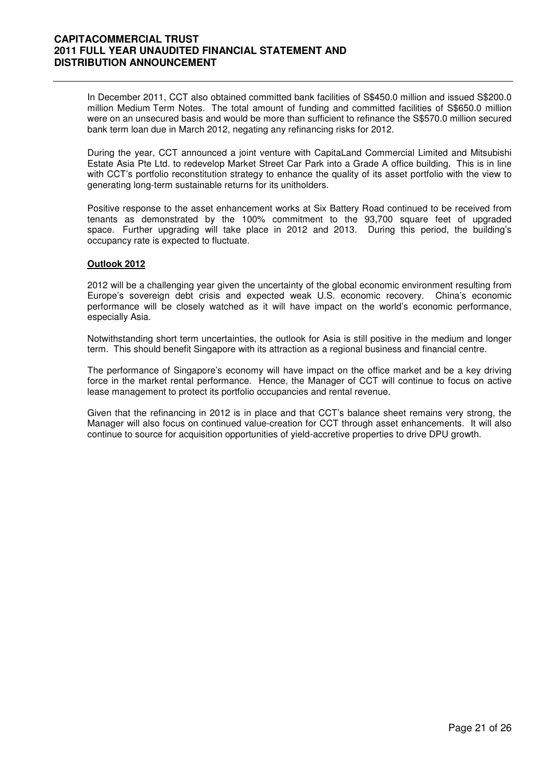In December 2011, CCT also obtained committed bank facilities of S\$450.0 million and issued S\$200.0 million Medium Term Notes. The total amount of funding and committed facilities of S\$650.0 million were on an unsecured basis and would be more than sufficient to refinance the S\$570.0 million secured bank term loan due in March 2012, negating any refinancing risks for 2012.

During the year, CCT announced a joint venture with CapitaLand Commercial Limited and Mitsubishi Estate Asia Pte Ltd. to redevelop Market Street Car Park into a Grade A office building. This is in line with CCT's portfolio reconstitution strategy to enhance the quality of its asset portfolio with the view to generating long-term sustainable returns for its unitholders.

Positive response to the asset enhancement works at Six Battery Road continued to be received from tenants as demonstrated by the 100% commitment to the 93,700 square feet of upgraded space. Further upgrading will take place in 2012 and 2013. During this period, the building's occupancy rate is expected to fluctuate.

### **Outlook 2012**

2012 will be a challenging year given the uncertainty of the global economic environment resulting from Europe's sovereign debt crisis and expected weak U.S. economic recovery. China's economic performance will be closely watched as it will have impact on the world's economic performance, especially Asia.

Notwithstanding short term uncertainties, the outlook for Asia is still positive in the medium and longer term. This should benefit Singapore with its attraction as a regional business and financial centre.

The performance of Singapore's economy will have impact on the office market and be a key driving force in the market rental performance. Hence, the Manager of CCT will continue to focus on active lease management to protect its portfolio occupancies and rental revenue.

Given that the refinancing in 2012 is in place and that CCT's balance sheet remains very strong, the Manager will also focus on continued value-creation for CCT through asset enhancements. It will also continue to source for acquisition opportunities of yield-accretive properties to drive DPU growth.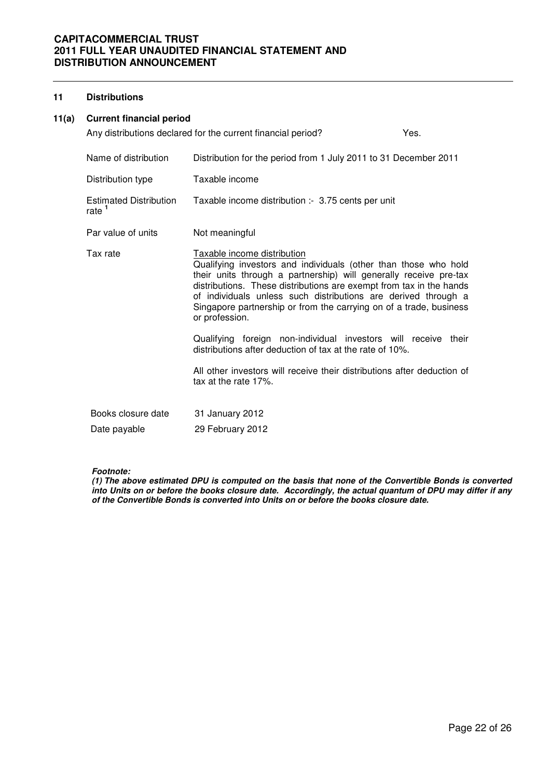## **11 Distributions**

## **11(a) Current financial period**

|                                                    | Any distributions declared for the current financial period?                                                                                                                                                                                                                                                                                                                                                                                                                                                                                                                                                                          | Yes. |
|----------------------------------------------------|---------------------------------------------------------------------------------------------------------------------------------------------------------------------------------------------------------------------------------------------------------------------------------------------------------------------------------------------------------------------------------------------------------------------------------------------------------------------------------------------------------------------------------------------------------------------------------------------------------------------------------------|------|
| Name of distribution                               | Distribution for the period from 1 July 2011 to 31 December 2011                                                                                                                                                                                                                                                                                                                                                                                                                                                                                                                                                                      |      |
| Distribution type                                  | Taxable income                                                                                                                                                                                                                                                                                                                                                                                                                                                                                                                                                                                                                        |      |
| <b>Estimated Distribution</b><br>rate <sup>1</sup> | Taxable income distribution :- 3.75 cents per unit                                                                                                                                                                                                                                                                                                                                                                                                                                                                                                                                                                                    |      |
| Par value of units                                 | Not meaningful                                                                                                                                                                                                                                                                                                                                                                                                                                                                                                                                                                                                                        |      |
| Tax rate                                           | Taxable income distribution<br>Qualifying investors and individuals (other than those who hold<br>their units through a partnership) will generally receive pre-tax<br>distributions. These distributions are exempt from tax in the hands<br>of individuals unless such distributions are derived through a<br>Singapore partnership or from the carrying on of a trade, business<br>or profession.<br>Qualifying foreign non-individual investors will receive their<br>distributions after deduction of tax at the rate of 10%.<br>All other investors will receive their distributions after deduction of<br>tax at the rate 17%. |      |
| Books closure date                                 |                                                                                                                                                                                                                                                                                                                                                                                                                                                                                                                                                                                                                                       |      |
|                                                    | 31 January 2012                                                                                                                                                                                                                                                                                                                                                                                                                                                                                                                                                                                                                       |      |
| Date payable                                       | 29 February 2012                                                                                                                                                                                                                                                                                                                                                                                                                                                                                                                                                                                                                      |      |

#### **Footnote:**

**(1) The above estimated DPU is computed on the basis that none of the Convertible Bonds is converted into Units on or before the books closure date. Accordingly, the actual quantum of DPU may differ if any of the Convertible Bonds is converted into Units on or before the books closure date.**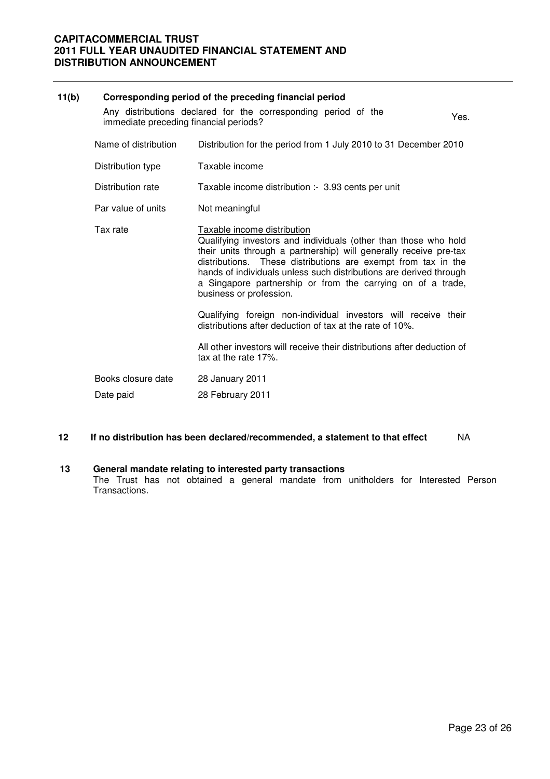| 11(b) |                                                                                                                  | Corresponding period of the preceding financial period                                                                                                                                                                                                                                                                                                                                               |  |  |  |
|-------|------------------------------------------------------------------------------------------------------------------|------------------------------------------------------------------------------------------------------------------------------------------------------------------------------------------------------------------------------------------------------------------------------------------------------------------------------------------------------------------------------------------------------|--|--|--|
|       | Any distributions declared for the corresponding period of the<br>Yes.<br>immediate preceding financial periods? |                                                                                                                                                                                                                                                                                                                                                                                                      |  |  |  |
|       | Name of distribution                                                                                             | Distribution for the period from 1 July 2010 to 31 December 2010                                                                                                                                                                                                                                                                                                                                     |  |  |  |
|       | Distribution type                                                                                                | Taxable income                                                                                                                                                                                                                                                                                                                                                                                       |  |  |  |
|       | Distribution rate                                                                                                | Taxable income distribution :- 3.93 cents per unit                                                                                                                                                                                                                                                                                                                                                   |  |  |  |
|       | Par value of units                                                                                               | Not meaningful                                                                                                                                                                                                                                                                                                                                                                                       |  |  |  |
|       | Tax rate                                                                                                         | Taxable income distribution<br>Qualifying investors and individuals (other than those who hold<br>their units through a partnership) will generally receive pre-tax<br>distributions. These distributions are exempt from tax in the<br>hands of individuals unless such distributions are derived through<br>a Singapore partnership or from the carrying on of a trade,<br>business or profession. |  |  |  |
|       |                                                                                                                  | Qualifying foreign non-individual investors will receive their<br>distributions after deduction of tax at the rate of 10%.                                                                                                                                                                                                                                                                           |  |  |  |
|       |                                                                                                                  | All other investors will receive their distributions after deduction of<br>tax at the rate 17%.                                                                                                                                                                                                                                                                                                      |  |  |  |
|       | Books closure date                                                                                               | 28 January 2011                                                                                                                                                                                                                                                                                                                                                                                      |  |  |  |
|       | Date paid                                                                                                        | 28 February 2011                                                                                                                                                                                                                                                                                                                                                                                     |  |  |  |

### **12 If no distribution has been declared/recommended, a statement to that effect** NA

#### **13 General mandate relating to interested party transactions**

 The Trust has not obtained a general mandate from unitholders for Interested Person Transactions.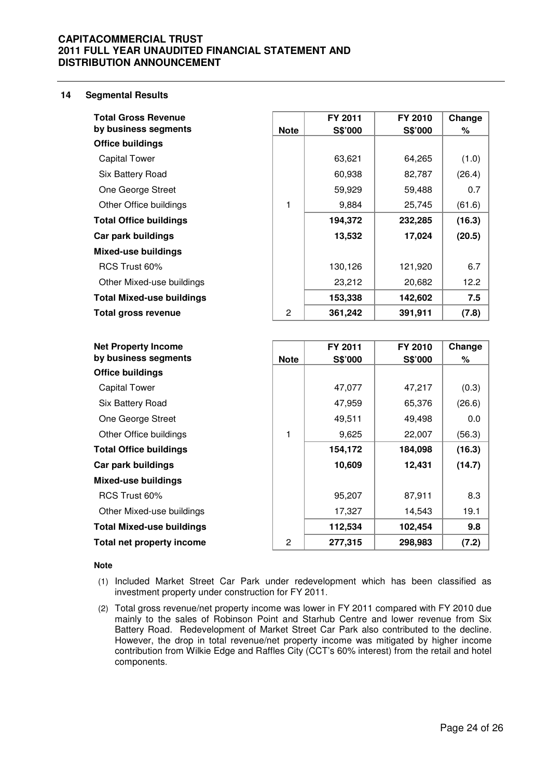#### **14 Segmental Results**

|                | FY 2011 | FY 2010 | Change |
|----------------|---------|---------|--------|
| <b>Note</b>    | S\$'000 | S\$'000 | ℅      |
|                |         |         |        |
|                | 63,621  | 64,265  | (1.0)  |
|                | 60,938  | 82,787  | (26.4) |
|                | 59,929  | 59,488  | 0.7    |
| 1              | 9,884   | 25,745  | (61.6) |
|                | 194,372 | 232,285 | (16.3) |
|                | 13,532  | 17,024  | (20.5) |
|                |         |         |        |
|                | 130,126 | 121,920 | 6.7    |
|                | 23,212  | 20,682  | 12.2   |
|                | 153,338 | 142,602 | 7.5    |
| $\overline{c}$ | 361,242 | 391,911 | (7.8)  |
|                |         |         |        |
|                | FY 2011 | FY 2010 | Change |
| <b>Note</b>    | S\$'000 | S\$'000 | ℅      |
|                |         |         |        |

| by business segments             | <b>Note</b> | S\$'000 | S\$'000 | %      |
|----------------------------------|-------------|---------|---------|--------|
| <b>Office buildings</b>          |             |         |         |        |
| <b>Capital Tower</b>             |             | 47,077  | 47,217  | (0.3)  |
| Six Battery Road                 |             | 47,959  | 65,376  | (26.6) |
| One George Street                |             | 49,511  | 49,498  | 0.0    |
| Other Office buildings           | 1           | 9,625   | 22,007  | (56.3) |
| <b>Total Office buildings</b>    |             | 154,172 | 184,098 | (16.3) |
| Car park buildings               |             | 10,609  | 12,431  | (14.7) |
| <b>Mixed-use buildings</b>       |             |         |         |        |
| RCS Trust 60%                    |             | 95,207  | 87,911  | 8.3    |
| Other Mixed-use buildings        |             | 17,327  | 14,543  | 19.1   |
| <b>Total Mixed-use buildings</b> |             | 112,534 | 102,454 | 9.8    |
| Total net property income        | 2           | 277,315 | 298,983 | (7.2)  |

#### **Note**

- (1) Included Market Street Car Park under redevelopment which has been classified as investment property under construction for FY 2011.
- (2) Total gross revenue/net property income was lower in FY 2011 compared with FY 2010 due mainly to the sales of Robinson Point and Starhub Centre and lower revenue from Six Battery Road. Redevelopment of Market Street Car Park also contributed to the decline. However, the drop in total revenue/net property income was mitigated by higher income contribution from Wilkie Edge and Raffles City (CCT's 60% interest) from the retail and hotel components.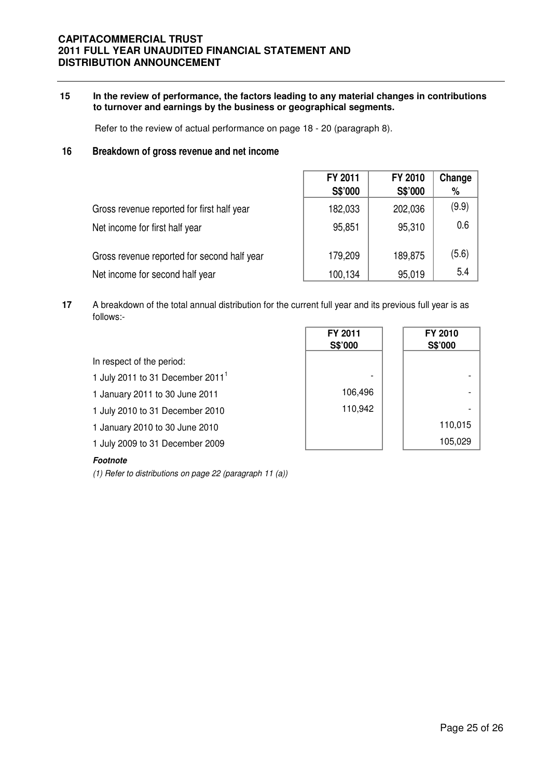## **15 In the review of performance, the factors leading to any material changes in contributions to turnover and earnings by the business or geographical segments.**

Refer to the review of actual performance on page 18 - 20 (paragraph 8).

## **16 Breakdown of gross revenue and net income**

|                                             | FY 2011<br>S\$'000 | FY 2010<br>S\$'000 | Change<br>% |
|---------------------------------------------|--------------------|--------------------|-------------|
| Gross revenue reported for first half year  | 182,033            | 202,036            | (9.9)       |
| Net income for first half year              | 95,851             | 95,310             | 0.6         |
| Gross revenue reported for second half year | 179,209            | 189,875            | (5.6)       |
| Net income for second half year             | 100,134            | 95,019             | 5.4         |

**17** A breakdown of the total annual distribution for the current full year and its previous full year is as follows:-

|                                    | FY 2011<br>S\$'000 | FY 2010<br>S\$'000 |
|------------------------------------|--------------------|--------------------|
| In respect of the period:          |                    |                    |
| 1 July 2011 to 31 December $20111$ | -                  |                    |
| 1 January 2011 to 30 June 2011     | 106,496            |                    |
| 1 July 2010 to 31 December 2010    | 110,942            |                    |
| 1 January 2010 to 30 June 2010     |                    | 110,015            |
| 1 July 2009 to 31 December 2009    |                    | 105,029            |
|                                    |                    |                    |

## **Footnote**

(1) Refer to distributions on page 22 (paragraph 11 (a))